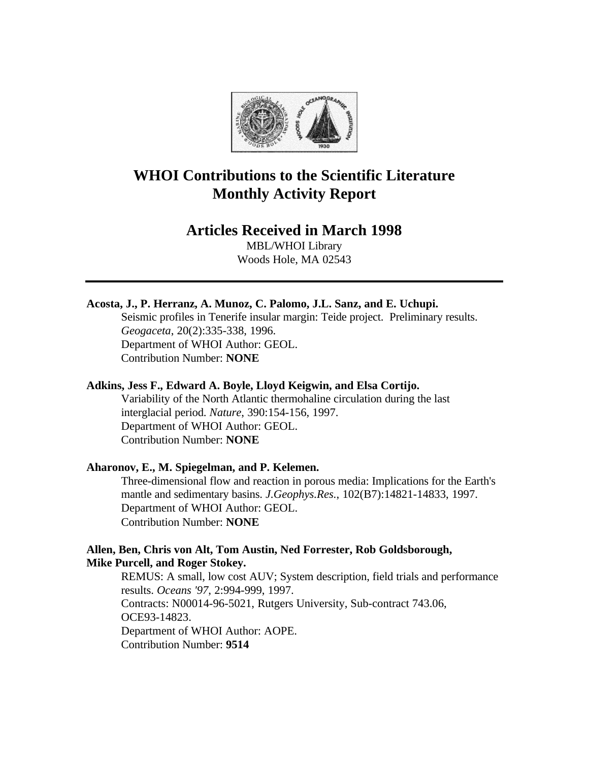

# **WHOI Contributions to the Scientific Literature Monthly Activity Report**

# **Articles Received in March 1998**

MBL/WHOI Library Woods Hole, MA 02543

# **Acosta, J., P. Herranz, A. Munoz, C. Palomo, J.L. Sanz, and E. Uchupi.**

Seismic profiles in Tenerife insular margin: Teide project. Preliminary results. *Geogaceta*, 20(2):335-338, 1996. Department of WHOI Author: GEOL. Contribution Number: **NONE**

#### **Adkins, Jess F., Edward A. Boyle, Lloyd Keigwin, and Elsa Cortijo.**

Variability of the North Atlantic thermohaline circulation during the last interglacial period. *Nature*, 390:154-156, 1997. Department of WHOI Author: GEOL. Contribution Number: **NONE**

### **Aharonov, E., M. Spiegelman, and P. Kelemen.**

Three-dimensional flow and reaction in porous media: Implications for the Earth's mantle and sedimentary basins. *J.Geophys.Res.*, 102(B7):14821-14833, 1997. Department of WHOI Author: GEOL. Contribution Number: **NONE**

### **Allen, Ben, Chris von Alt, Tom Austin, Ned Forrester, Rob Goldsborough, Mike Purcell, and Roger Stokey.**

REMUS: A small, low cost AUV; System description, field trials and performance results. *Oceans '97*, 2:994-999, 1997. Contracts: N00014-96-5021, Rutgers University, Sub-contract 743.06, OCE93-14823. Department of WHOI Author: AOPE. Contribution Number: **9514**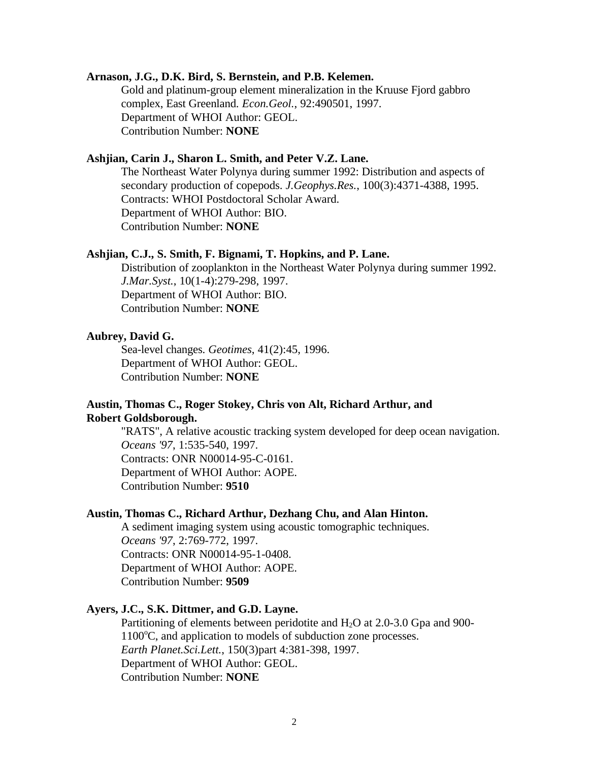### **Arnason, J.G., D.K. Bird, S. Bernstein, and P.B. Kelemen.**

Gold and platinum-group element mineralization in the Kruuse Fjord gabbro complex, East Greenland. *Econ.Geol.*, 92:490501, 1997. Department of WHOI Author: GEOL. Contribution Number: **NONE**

### **Ashjian, Carin J., Sharon L. Smith, and Peter V.Z. Lane.**

The Northeast Water Polynya during summer 1992: Distribution and aspects of secondary production of copepods. *J.Geophys.Res.*, 100(3):4371-4388, 1995. Contracts: WHOI Postdoctoral Scholar Award. Department of WHOI Author: BIO. Contribution Number: **NONE**

#### **Ashjian, C.J., S. Smith, F. Bignami, T. Hopkins, and P. Lane.**

Distribution of zooplankton in the Northeast Water Polynya during summer 1992. *J.Mar.Syst.*, 10(1-4):279-298, 1997. Department of WHOI Author: BIO. Contribution Number: **NONE**

#### **Aubrey, David G.**

Sea-level changes. *Geotimes*, 41(2):45, 1996. Department of WHOI Author: GEOL. Contribution Number: **NONE**

### **Austin, Thomas C., Roger Stokey, Chris von Alt, Richard Arthur, and Robert Goldsborough.**

"RATS", A relative acoustic tracking system developed for deep ocean navigation. *Oceans '97*, 1:535-540, 1997. Contracts: ONR N00014-95-C-0161. Department of WHOI Author: AOPE. Contribution Number: **9510**

### **Austin, Thomas C., Richard Arthur, Dezhang Chu, and Alan Hinton.**

A sediment imaging system using acoustic tomographic techniques. *Oceans '97*, 2:769-772, 1997. Contracts: ONR N00014-95-1-0408. Department of WHOI Author: AOPE. Contribution Number: **9509**

### **Ayers, J.C., S.K. Dittmer, and G.D. Layne.**

Partitioning of elements between peridotite and  $H_2O$  at 2.0-3.0 Gpa and 900- $1100^{\circ}$ C, and application to models of subduction zone processes. *Earth Planet.Sci.Lett.*, 150(3)part 4:381-398, 1997. Department of WHOI Author: GEOL. Contribution Number: **NONE**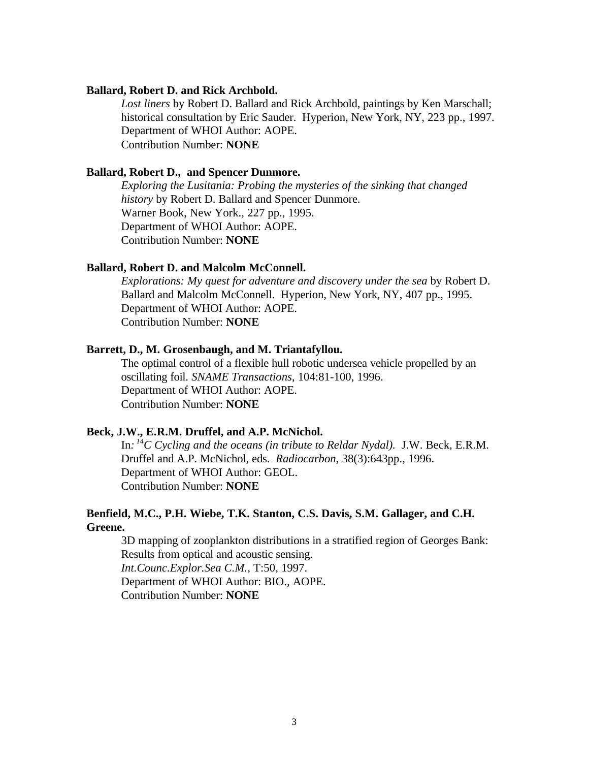#### **Ballard, Robert D. and Rick Archbold.**

*Lost liners* by Robert D. Ballard and Rick Archbold, paintings by Ken Marschall; historical consultation by Eric Sauder. Hyperion, New York, NY, 223 pp., 1997. Department of WHOI Author: AOPE. Contribution Number: **NONE**

#### **Ballard, Robert D., and Spencer Dunmore.**

*Exploring the Lusitania: Probing the mysteries of the sinking that changed history* by Robert D. Ballard and Spencer Dunmore. Warner Book, New York., 227 pp., 1995. Department of WHOI Author: AOPE. Contribution Number: **NONE**

#### **Ballard, Robert D. and Malcolm McConnell.**

*Explorations: My quest for adventure and discovery under the sea* by Robert D. Ballard and Malcolm McConnell. Hyperion, New York, NY, 407 pp., 1995. Department of WHOI Author: AOPE. Contribution Number: **NONE**

### **Barrett, D., M. Grosenbaugh, and M. Triantafyllou.**

The optimal control of a flexible hull robotic undersea vehicle propelled by an oscillating foil. *SNAME Transactions*, 104:81-100, 1996. Department of WHOI Author: AOPE. Contribution Number: **NONE**

### **Beck, J.W., E.R.M. Druffel, and A.P. McNichol.**

In*: <sup>14</sup>C Cycling and the oceans (in tribute to Reldar Nydal).* J.W. Beck, E.R.M. Druffel and A.P. McNichol, eds. *Radiocarbon*, 38(3):643pp., 1996. Department of WHOI Author: GEOL. Contribution Number: **NONE**

### **Benfield, M.C., P.H. Wiebe, T.K. Stanton, C.S. Davis, S.M. Gallager, and C.H. Greene.**

3D mapping of zooplankton distributions in a stratified region of Georges Bank: Results from optical and acoustic sensing. *Int.Counc.Explor.Sea C.M.*, T:50, 1997. Department of WHOI Author: BIO., AOPE. Contribution Number: **NONE**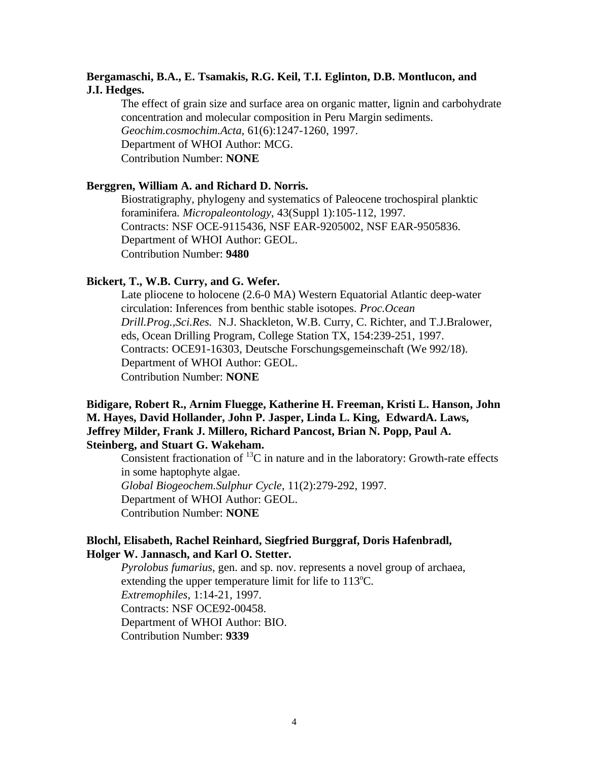### **Bergamaschi, B.A., E. Tsamakis, R.G. Keil, T.I. Eglinton, D.B. Montlucon, and J.I. Hedges.**

The effect of grain size and surface area on organic matter, lignin and carbohydrate concentration and molecular composition in Peru Margin sediments. *Geochim.cosmochim.Acta*, 61(6):1247-1260, 1997. Department of WHOI Author: MCG. Contribution Number: **NONE**

### **Berggren, William A. and Richard D. Norris.**

Biostratigraphy, phylogeny and systematics of Paleocene trochospiral planktic foraminifera. *Micropaleontology*, 43(Suppl 1):105-112, 1997. Contracts: NSF OCE-9115436, NSF EAR-9205002, NSF EAR-9505836. Department of WHOI Author: GEOL. Contribution Number: **9480**

#### **Bickert, T., W.B. Curry, and G. Wefer.**

Late pliocene to holocene (2.6-0 MA) Western Equatorial Atlantic deep-water circulation: Inferences from benthic stable isotopes. *Proc.Ocean Drill.Prog.,Sci.Res.* N.J. Shackleton, W.B. Curry, C. Richter, and T.J.Bralower, eds, Ocean Drilling Program, College Station TX, 154:239-251, 1997. Contracts: OCE91-16303, Deutsche Forschungsgemeinschaft (We 992/18). Department of WHOI Author: GEOL. Contribution Number: **NONE**

# **Bidigare, Robert R., Arnim Fluegge, Katherine H. Freeman, Kristi L. Hanson, John M. Hayes, David Hollander, John P. Jasper, Linda L. King, EdwardA. Laws, Jeffrey Milder, Frank J. Millero, Richard Pancost, Brian N. Popp, Paul A. Steinberg, and Stuart G. Wakeham.**

Consistent fractionation of  $^{13}$ C in nature and in the laboratory: Growth-rate effects in some haptophyte algae. *Global Biogeochem.Sulphur Cycle*, 11(2):279-292, 1997. Department of WHOI Author: GEOL. Contribution Number: **NONE**

### **Blochl, Elisabeth, Rachel Reinhard, Siegfried Burggraf, Doris Hafenbradl, Holger W. Jannasch, and Karl O. Stetter.**

*Pyrolobus fumarius*, gen. and sp. nov. represents a novel group of archaea, extending the upper temperature limit for life to  $113^{\circ}$ C. *Extremophiles*, 1:14-21, 1997. Contracts: NSF OCE92-00458. Department of WHOI Author: BIO. Contribution Number: **9339**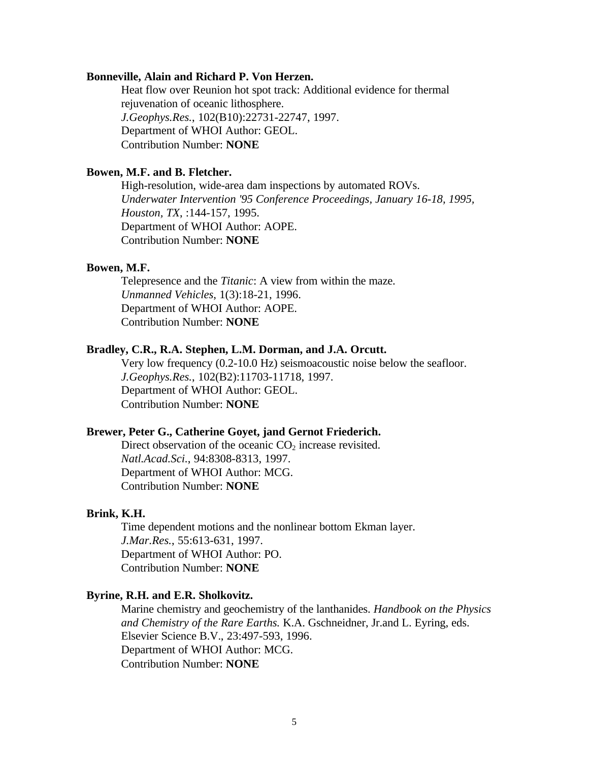#### **Bonneville, Alain and Richard P. Von Herzen.**

Heat flow over Reunion hot spot track: Additional evidence for thermal rejuvenation of oceanic lithosphere. *J.Geophys.Res.*, 102(B10):22731-22747, 1997. Department of WHOI Author: GEOL. Contribution Number: **NONE**

#### **Bowen, M.F. and B. Fletcher.**

High-resolution, wide-area dam inspections by automated ROVs. *Underwater Intervention '95 Conference Proceedings, January 16-18, 1995, Houston, TX*, :144-157, 1995. Department of WHOI Author: AOPE. Contribution Number: **NONE**

#### **Bowen, M.F.**

Telepresence and the *Titanic*: A view from within the maze. *Unmanned Vehicles*, 1(3):18-21, 1996. Department of WHOI Author: AOPE. Contribution Number: **NONE**

### **Bradley, C.R., R.A. Stephen, L.M. Dorman, and J.A. Orcutt.**

Very low frequency (0.2-10.0 Hz) seismoacoustic noise below the seafloor. *J.Geophys.Res.*, 102(B2):11703-11718, 1997. Department of WHOI Author: GEOL. Contribution Number: **NONE**

#### **Brewer, Peter G., Catherine Goyet, jand Gernot Friederich.**

Direct observation of the oceanic  $CO<sub>2</sub>$  increase revisited. *Natl.Acad.Sci.*, 94:8308-8313, 1997. Department of WHOI Author: MCG. Contribution Number: **NONE**

#### **Brink, K.H.**

Time dependent motions and the nonlinear bottom Ekman layer. *J.Mar.Res.*, 55:613-631, 1997. Department of WHOI Author: PO. Contribution Number: **NONE**

#### **Byrine, R.H. and E.R. Sholkovitz.**

Marine chemistry and geochemistry of the lanthanides. *Handbook on the Physics and Chemistry of the Rare Earths.* K.A. Gschneidner, Jr.and L. Eyring, eds. Elsevier Science B.V., 23:497-593, 1996. Department of WHOI Author: MCG. Contribution Number: **NONE**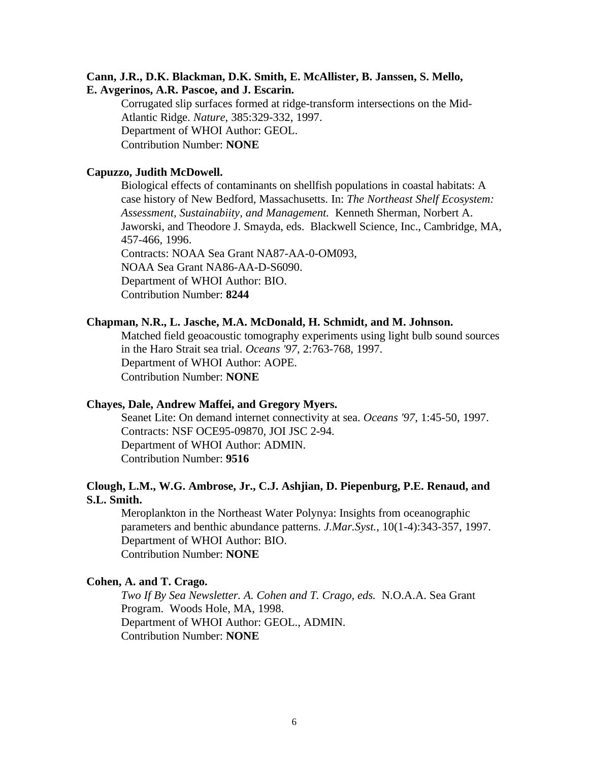### **Cann, J.R., D.K. Blackman, D.K. Smith, E. McAllister, B. Janssen, S. Mello, E. Avgerinos, A.R. Pascoe, and J. Escarin.**

Corrugated slip surfaces formed at ridge-transform intersections on the Mid-Atlantic Ridge. *Nature*, 385:329-332, 1997. Department of WHOI Author: GEOL. Contribution Number: **NONE**

#### **Capuzzo, Judith McDowell.**

Biological effects of contaminants on shellfish populations in coastal habitats: A case history of New Bedford, Massachusetts. In: *The Northeast Shelf Ecosystem: Assessment, Sustainabiity, and Management.* Kenneth Sherman, Norbert A. Jaworski, and Theodore J. Smayda, eds. Blackwell Science, Inc., Cambridge, MA, 457-466, 1996. Contracts: NOAA Sea Grant NA87-AA-0-OM093, NOAA Sea Grant NA86-AA-D-S6090. Department of WHOI Author: BIO. Contribution Number: **8244**

#### **Chapman, N.R., L. Jasche, M.A. McDonald, H. Schmidt, and M. Johnson.**

Matched field geoacoustic tomography experiments using light bulb sound sources in the Haro Strait sea trial. *Oceans '97*, 2:763-768, 1997. Department of WHOI Author: AOPE. Contribution Number: **NONE**

#### **Chayes, Dale, Andrew Maffei, and Gregory Myers.**

Seanet Lite: On demand internet connectivity at sea. *Oceans '97*, 1:45-50, 1997. Contracts: NSF OCE95-09870, JOI JSC 2-94. Department of WHOI Author: ADMIN. Contribution Number: **9516**

### **Clough, L.M., W.G. Ambrose, Jr., C.J. Ashjian, D. Piepenburg, P.E. Renaud, and S.L. Smith.**

Meroplankton in the Northeast Water Polynya: Insights from oceanographic parameters and benthic abundance patterns. *J.Mar.Syst.*, 10(1-4):343-357, 1997. Department of WHOI Author: BIO. Contribution Number: **NONE**

#### **Cohen, A. and T. Crago.**

*Two If By Sea Newsletter. A. Cohen and T. Crago, eds.* N.O.A.A. Sea Grant Program. Woods Hole, MA, 1998. Department of WHOI Author: GEOL., ADMIN. Contribution Number: **NONE**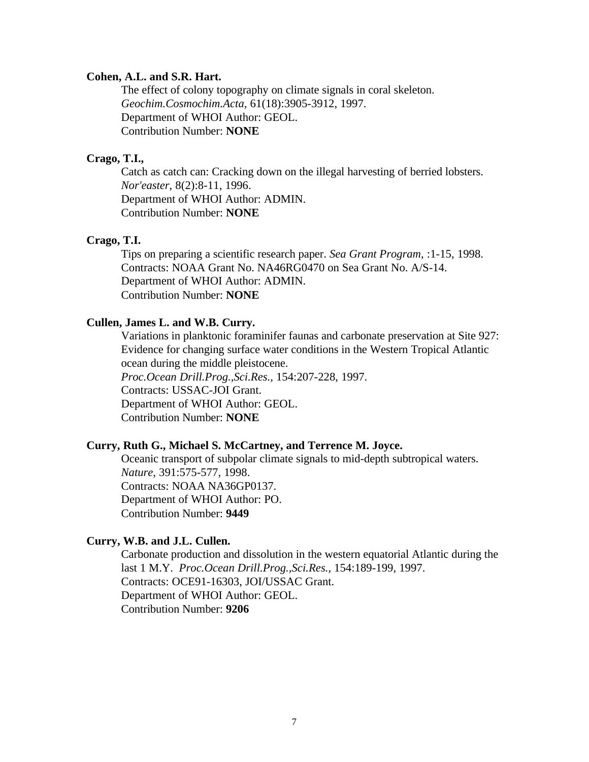#### **Cohen, A.L. and S.R. Hart.**

The effect of colony topography on climate signals in coral skeleton. *Geochim.Cosmochim.Acta*, 61(18):3905-3912, 1997. Department of WHOI Author: GEOL. Contribution Number: **NONE**

### **Crago, T.I.,**

Catch as catch can: Cracking down on the illegal harvesting of berried lobsters. *Nor'easter*, 8(2):8-11, 1996. Department of WHOI Author: ADMIN. Contribution Number: **NONE**

### **Crago, T.I.**

Tips on preparing a scientific research paper. *Sea Grant Program*, :1-15, 1998. Contracts: NOAA Grant No. NA46RG0470 on Sea Grant No. A/S-14. Department of WHOI Author: ADMIN. Contribution Number: **NONE**

### **Cullen, James L. and W.B. Curry.**

Variations in planktonic foraminifer faunas and carbonate preservation at Site 927: Evidence for changing surface water conditions in the Western Tropical Atlantic ocean during the middle pleistocene. *Proc.Ocean Drill.Prog.,Sci.Res.,* 154:207-228, 1997. Contracts: USSAC-JOI Grant. Department of WHOI Author: GEOL. Contribution Number: **NONE**

#### **Curry, Ruth G., Michael S. McCartney, and Terrence M. Joyce.**

Oceanic transport of subpolar climate signals to mid-depth subtropical waters. *Nature*, 391:575-577, 1998. Contracts: NOAA NA36GP0137. Department of WHOI Author: PO. Contribution Number: **9449**

### **Curry, W.B. and J.L. Cullen.**

Carbonate production and dissolution in the western equatorial Atlantic during the last 1 M.Y. *Proc.Ocean Drill.Prog.,Sci.Res.,* 154:189-199, 1997. Contracts: OCE91-16303, JOI/USSAC Grant. Department of WHOI Author: GEOL. Contribution Number: **9206**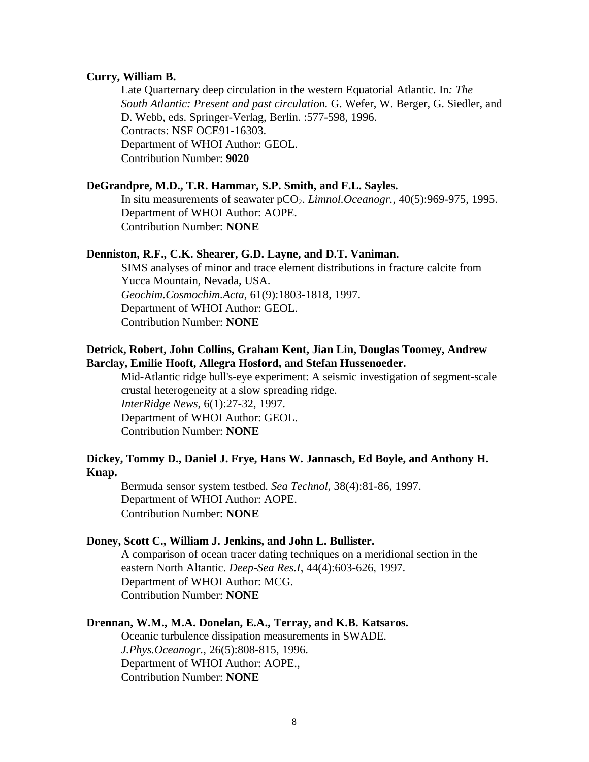#### **Curry, William B.**

Late Quarternary deep circulation in the western Equatorial Atlantic. In*: The South Atlantic: Present and past circulation.* G. Wefer, W. Berger, G. Siedler, and D. Webb, eds. Springer-Verlag, Berlin. :577-598, 1996. Contracts: NSF OCE91-16303. Department of WHOI Author: GEOL. Contribution Number: **9020**

### **DeGrandpre, M.D., T.R. Hammar, S.P. Smith, and F.L. Sayles.**

In situ measurements of seawater pCO2. *Limnol.Oceanogr.*, 40(5):969-975, 1995. Department of WHOI Author: AOPE. Contribution Number: **NONE**

#### **Denniston, R.F., C.K. Shearer, G.D. Layne, and D.T. Vaniman.**

SIMS analyses of minor and trace element distributions in fracture calcite from Yucca Mountain, Nevada, USA. *Geochim.Cosmochim.Acta*, 61(9):1803-1818, 1997. Department of WHOI Author: GEOL. Contribution Number: **NONE**

### **Detrick, Robert, John Collins, Graham Kent, Jian Lin, Douglas Toomey, Andrew Barclay, Emilie Hooft, Allegra Hosford, and Stefan Hussenoeder.**

Mid-Atlantic ridge bull's-eye experiment: A seismic investigation of segment-scale crustal heterogeneity at a slow spreading ridge. *InterRidge News*, 6(1):27-32, 1997. Department of WHOI Author: GEOL. Contribution Number: **NONE**

### **Dickey, Tommy D., Daniel J. Frye, Hans W. Jannasch, Ed Boyle, and Anthony H. Knap.**

Bermuda sensor system testbed. *Sea Technol*, 38(4):81-86, 1997. Department of WHOI Author: AOPE. Contribution Number: **NONE**

#### **Doney, Scott C., William J. Jenkins, and John L. Bullister.**

A comparison of ocean tracer dating techniques on a meridional section in the eastern North Altantic. *Deep-Sea Res.I*, 44(4):603-626, 1997. Department of WHOI Author: MCG. Contribution Number: **NONE**

#### **Drennan, W.M., M.A. Donelan, E.A., Terray, and K.B. Katsaros.**

Oceanic turbulence dissipation measurements in SWADE. *J.Phys.Oceanogr.*, 26(5):808-815, 1996. Department of WHOI Author: AOPE., Contribution Number: **NONE**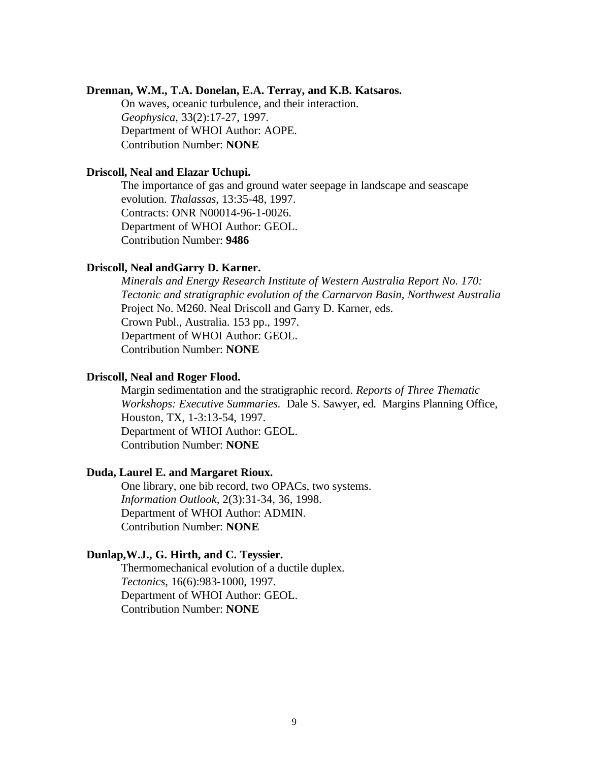#### **Drennan, W.M., T.A. Donelan, E.A. Terray, and K.B. Katsaros.**

On waves, oceanic turbulence, and their interaction. *Geophysica*, 33(2):17-27, 1997. Department of WHOI Author: AOPE. Contribution Number: **NONE**

#### **Driscoll, Neal and Elazar Uchupi.**

The importance of gas and ground water seepage in landscape and seascape evolution. *Thalassas*, 13:35-48, 1997. Contracts: ONR N00014-96-1-0026. Department of WHOI Author: GEOL. Contribution Number: **9486**

#### **Driscoll, Neal andGarry D. Karner.**

*Minerals and Energy Research Institute of Western Australia Report No. 170: Tectonic and stratigraphic evolution of the Carnarvon Basin, Northwest Australia* Project No. M260. Neal Driscoll and Garry D. Karner, eds. Crown Publ., Australia. 153 pp., 1997. Department of WHOI Author: GEOL. Contribution Number: **NONE**

#### **Driscoll, Neal and Roger Flood.**

Margin sedimentation and the stratigraphic record. *Reports of Three Thematic Workshops: Executive Summaries.* Dale S. Sawyer, ed. Margins Planning Office, Houston, TX, 1-3:13-54, 1997. Department of WHOI Author: GEOL. Contribution Number: **NONE**

#### **Duda, Laurel E. and Margaret Rioux.**

One library, one bib record, two OPACs, two systems. *Information Outlook*, 2(3):31-34, 36, 1998. Department of WHOI Author: ADMIN. Contribution Number: **NONE**

### **Dunlap,W.J., G. Hirth, and C. Teyssier.**

Thermomechanical evolution of a ductile duplex. *Tectonics*, 16(6):983-1000, 1997. Department of WHOI Author: GEOL. Contribution Number: **NONE**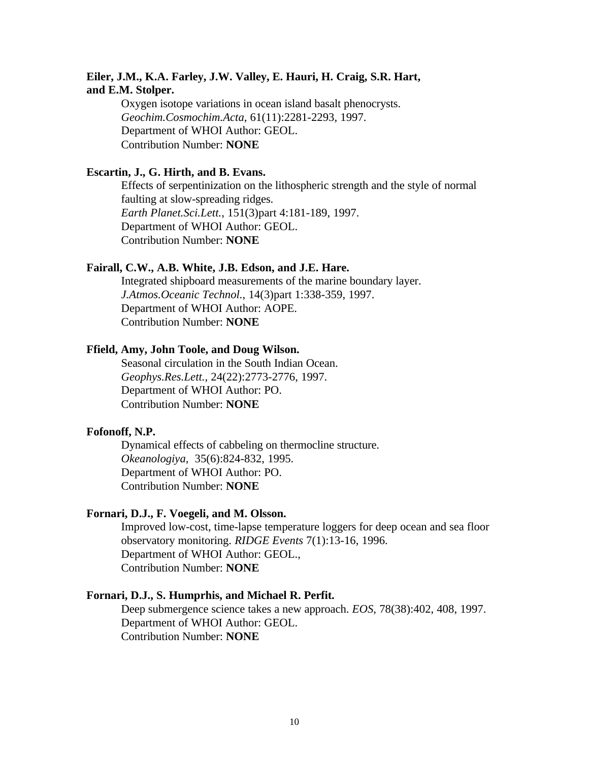### **Eiler, J.M., K.A. Farley, J.W. Valley, E. Hauri, H. Craig, S.R. Hart, and E.M. Stolper.**

Oxygen isotope variations in ocean island basalt phenocrysts. *Geochim.Cosmochim.Acta*, 61(11):2281-2293, 1997. Department of WHOI Author: GEOL. Contribution Number: **NONE**

#### **Escartin, J., G. Hirth, and B. Evans.**

Effects of serpentinization on the lithospheric strength and the style of normal faulting at slow-spreading ridges. *Earth Planet.Sci.Lett.*, 151(3)part 4:181-189, 1997. Department of WHOI Author: GEOL. Contribution Number: **NONE**

#### **Fairall, C.W., A.B. White, J.B. Edson, and J.E. Hare.**

Integrated shipboard measurements of the marine boundary layer. *J.Atmos.Oceanic Technol.*, 14(3)part 1:338-359, 1997. Department of WHOI Author: AOPE. Contribution Number: **NONE**

# **Ffield, Amy, John Toole, and Doug Wilson.**

Seasonal circulation in the South Indian Ocean. *Geophys.Res.Lett.*, 24(22):2773-2776, 1997. Department of WHOI Author: PO. Contribution Number: **NONE**

### **Fofonoff, N.P.**

Dynamical effects of cabbeling on thermocline structure. *Okeanologiya*, 35(6):824-832, 1995. Department of WHOI Author: PO. Contribution Number: **NONE**

#### **Fornari, D.J., F. Voegeli, and M. Olsson.**

Improved low-cost, time-lapse temperature loggers for deep ocean and sea floor observatory monitoring. *RIDGE Events* 7(1):13-16, 1996. Department of WHOI Author: GEOL., Contribution Number: **NONE**

### **Fornari, D.J., S. Humprhis, and Michael R. Perfit.**

Deep submergence science takes a new approach. *EOS*, 78(38):402, 408, 1997. Department of WHOI Author: GEOL. Contribution Number: **NONE**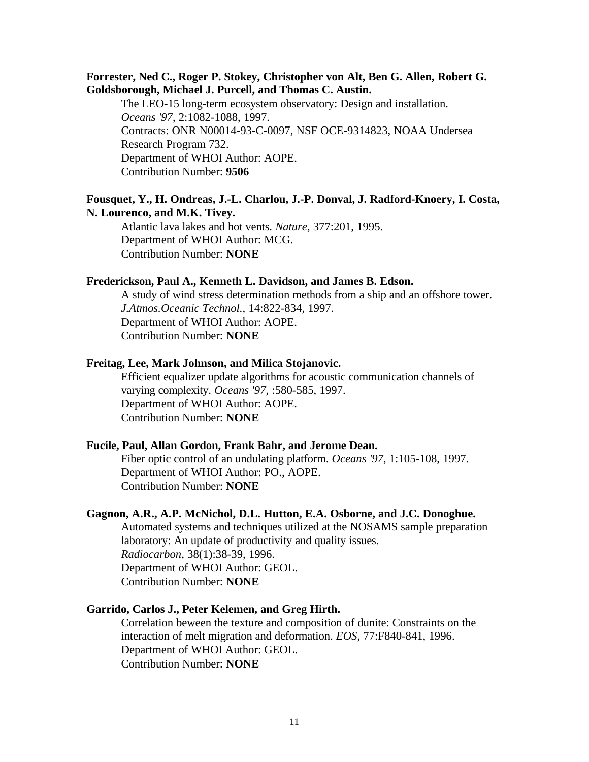### **Forrester, Ned C., Roger P. Stokey, Christopher von Alt, Ben G. Allen, Robert G. Goldsborough, Michael J. Purcell, and Thomas C. Austin.**

The LEO-15 long-term ecosystem observatory: Design and installation. *Oceans '97*, 2:1082-1088, 1997. Contracts: ONR N00014-93-C-0097, NSF OCE-9314823, NOAA Undersea Research Program 732. Department of WHOI Author: AOPE. Contribution Number: **9506**

### **Fousquet, Y., H. Ondreas, J.-L. Charlou, J.-P. Donval, J. Radford-Knoery, I. Costa, N. Lourenco, and M.K. Tivey.**

Atlantic lava lakes and hot vents. *Nature*, 377:201, 1995. Department of WHOI Author: MCG. Contribution Number: **NONE**

#### **Frederickson, Paul A., Kenneth L. Davidson, and James B. Edson.**

A study of wind stress determination methods from a ship and an offshore tower. *J.Atmos.Oceanic Technol.*, 14:822-834, 1997. Department of WHOI Author: AOPE. Contribution Number: **NONE**

#### **Freitag, Lee, Mark Johnson, and Milica Stojanovic.**

Efficient equalizer update algorithms for acoustic communication channels of varying complexity. *Oceans '97*, :580-585, 1997. Department of WHOI Author: AOPE. Contribution Number: **NONE**

#### **Fucile, Paul, Allan Gordon, Frank Bahr, and Jerome Dean.**

Fiber optic control of an undulating platform. *Oceans '97*, 1:105-108, 1997. Department of WHOI Author: PO., AOPE. Contribution Number: **NONE**

#### **Gagnon, A.R., A.P. McNichol, D.L. Hutton, E.A. Osborne, and J.C. Donoghue.**

Automated systems and techniques utilized at the NOSAMS sample preparation laboratory: An update of productivity and quality issues. *Radiocarbon*, 38(1):38-39, 1996. Department of WHOI Author: GEOL. Contribution Number: **NONE**

### **Garrido, Carlos J., Peter Kelemen, and Greg Hirth.**

Correlation beween the texture and composition of dunite: Constraints on the interaction of melt migration and deformation. *EOS*, 77:F840-841, 1996. Department of WHOI Author: GEOL. Contribution Number: **NONE**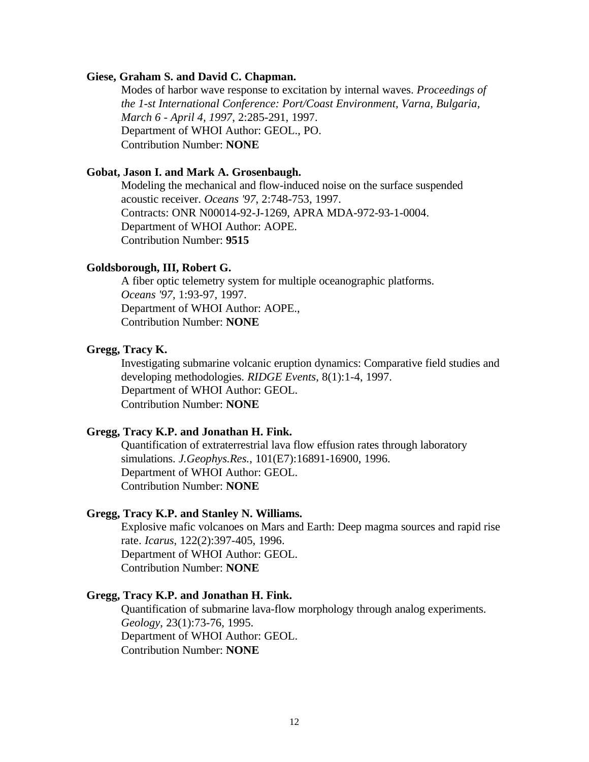#### **Giese, Graham S. and David C. Chapman.**

Modes of harbor wave response to excitation by internal waves. *Proceedings of the 1-st International Conference: Port/Coast Environment, Varna, Bulgaria, March 6 - April 4, 1997*, 2:285-291, 1997. Department of WHOI Author: GEOL., PO. Contribution Number: **NONE**

#### **Gobat, Jason I. and Mark A. Grosenbaugh.**

Modeling the mechanical and flow-induced noise on the surface suspended acoustic receiver. *Oceans '97*, 2:748-753, 1997. Contracts: ONR N00014-92-J-1269, APRA MDA-972-93-1-0004. Department of WHOI Author: AOPE. Contribution Number: **9515**

### **Goldsborough, III, Robert G.**

A fiber optic telemetry system for multiple oceanographic platforms. *Oceans '97*, 1:93-97, 1997. Department of WHOI Author: AOPE., Contribution Number: **NONE**

### **Gregg, Tracy K.**

Investigating submarine volcanic eruption dynamics: Comparative field studies and developing methodologies. *RIDGE Events*, 8(1):1-4, 1997. Department of WHOI Author: GEOL. Contribution Number: **NONE**

#### **Gregg, Tracy K.P. and Jonathan H. Fink.**

Quantification of extraterrestrial lava flow effusion rates through laboratory simulations. *J.Geophys.Res.*, 101(E7):16891-16900, 1996. Department of WHOI Author: GEOL. Contribution Number: **NONE**

### **Gregg, Tracy K.P. and Stanley N. Williams.**

Explosive mafic volcanoes on Mars and Earth: Deep magma sources and rapid rise rate. *Icarus*, 122(2):397-405, 1996. Department of WHOI Author: GEOL. Contribution Number: **NONE**

### **Gregg, Tracy K.P. and Jonathan H. Fink.**

Quantification of submarine lava-flow morphology through analog experiments. *Geology*, 23(1):73-76, 1995. Department of WHOI Author: GEOL. Contribution Number: **NONE**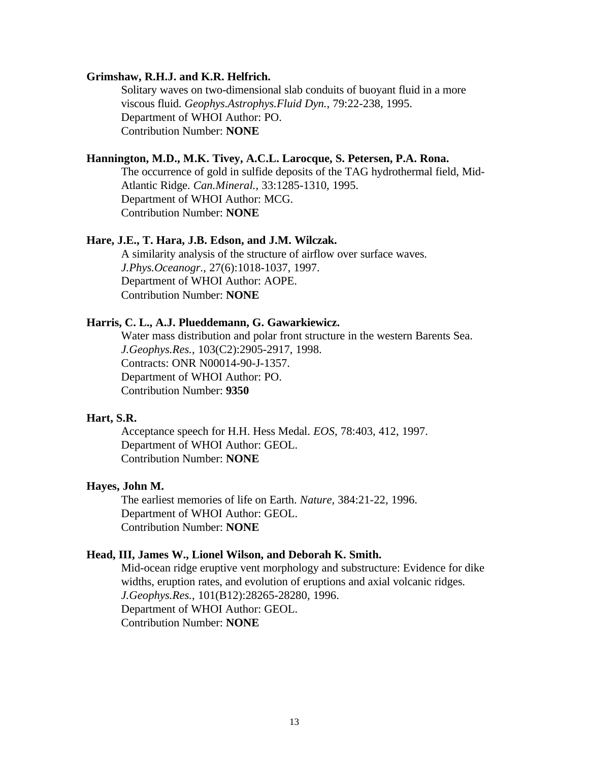#### **Grimshaw, R.H.J. and K.R. Helfrich.**

Solitary waves on two-dimensional slab conduits of buoyant fluid in a more viscous fluid. *Geophys.Astrophys.Fluid Dyn.*, 79:22-238, 1995. Department of WHOI Author: PO. Contribution Number: **NONE**

### **Hannington, M.D., M.K. Tivey, A.C.L. Larocque, S. Petersen, P.A. Rona.**

The occurrence of gold in sulfide deposits of the TAG hydrothermal field, Mid-Atlantic Ridge. *Can.Mineral.*, 33:1285-1310, 1995. Department of WHOI Author: MCG. Contribution Number: **NONE**

#### **Hare, J.E., T. Hara, J.B. Edson, and J.M. Wilczak.**

A similarity analysis of the structure of airflow over surface waves. *J.Phys.Oceanogr.*, 27(6):1018-1037, 1997. Department of WHOI Author: AOPE. Contribution Number: **NONE**

#### **Harris, C. L., A.J. Plueddemann, G. Gawarkiewicz.**

Water mass distribution and polar front structure in the western Barents Sea. *J.Geophys.Res.*, 103(C2):2905-2917, 1998. Contracts: ONR N00014-90-J-1357. Department of WHOI Author: PO. Contribution Number: **9350**

### **Hart, S.R.**

Acceptance speech for H.H. Hess Medal. *EOS*, 78:403, 412, 1997. Department of WHOI Author: GEOL. Contribution Number: **NONE**

#### **Hayes, John M.**

The earliest memories of life on Earth. *Nature*, 384:21-22, 1996. Department of WHOI Author: GEOL. Contribution Number: **NONE**

#### **Head, III, James W., Lionel Wilson, and Deborah K. Smith.**

Mid-ocean ridge eruptive vent morphology and substructure: Evidence for dike widths, eruption rates, and evolution of eruptions and axial volcanic ridges. *J.Geophys.Res.*, 101(B12):28265-28280, 1996. Department of WHOI Author: GEOL. Contribution Number: **NONE**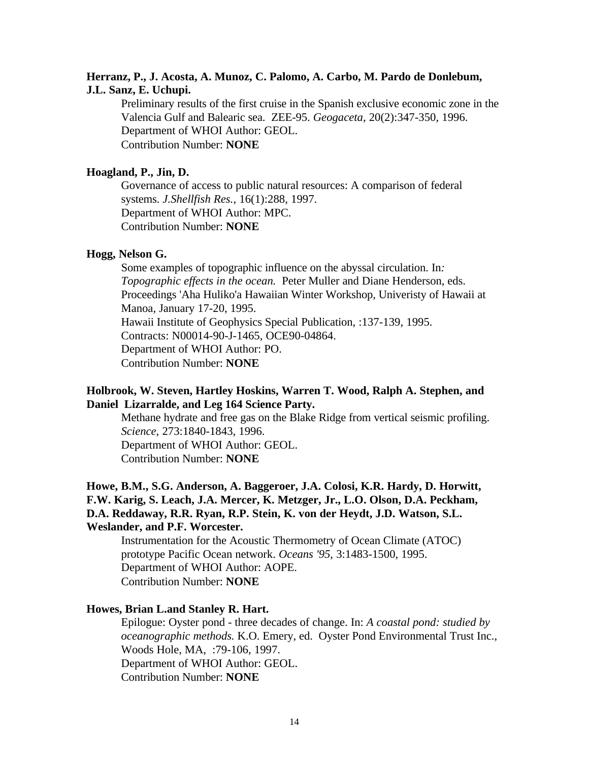### **Herranz, P., J. Acosta, A. Munoz, C. Palomo, A. Carbo, M. Pardo de Donlebum, J.L. Sanz, E. Uchupi.**

Preliminary results of the first cruise in the Spanish exclusive economic zone in the Valencia Gulf and Balearic sea. ZEE-95. *Geogaceta*, 20(2):347-350, 1996. Department of WHOI Author: GEOL. Contribution Number: **NONE**

### **Hoagland, P., Jin, D.**

Governance of access to public natural resources: A comparison of federal systems. *J.Shellfish Res.*, 16(1):288, 1997. Department of WHOI Author: MPC. Contribution Number: **NONE**

### **Hogg, Nelson G.**

Some examples of topographic influence on the abyssal circulation. In*: Topographic effects in the ocean.* Peter Muller and Diane Henderson, eds. Proceedings 'Aha Huliko'a Hawaiian Winter Workshop, Univeristy of Hawaii at Manoa, January 17-20, 1995. Hawaii Institute of Geophysics Special Publication, :137-139, 1995. Contracts: N00014-90-J-1465, OCE90-04864. Department of WHOI Author: PO. Contribution Number: **NONE**

### **Holbrook, W. Steven, Hartley Hoskins, Warren T. Wood, Ralph A. Stephen, and Daniel Lizarralde, and Leg 164 Science Party.**

Methane hydrate and free gas on the Blake Ridge from vertical seismic profiling. *Science*, 273:1840-1843, 1996. Department of WHOI Author: GEOL. Contribution Number: **NONE**

# **Howe, B.M., S.G. Anderson, A. Baggeroer, J.A. Colosi, K.R. Hardy, D. Horwitt, F.W. Karig, S. Leach, J.A. Mercer, K. Metzger, Jr., L.O. Olson, D.A. Peckham, D.A. Reddaway, R.R. Ryan, R.P. Stein, K. von der Heydt, J.D. Watson, S.L. Weslander, and P.F. Worcester.**

Instrumentation for the Acoustic Thermometry of Ocean Climate (ATOC) prototype Pacific Ocean network. *Oceans '95*, 3:1483-1500, 1995. Department of WHOI Author: AOPE. Contribution Number: **NONE**

### **Howes, Brian L.and Stanley R. Hart.**

Epilogue: Oyster pond - three decades of change. In: *A coastal pond: studied by oceanographic methods.* K.O. Emery, ed. Oyster Pond Environmental Trust Inc., Woods Hole, MA, :79-106, 1997. Department of WHOI Author: GEOL. Contribution Number: **NONE**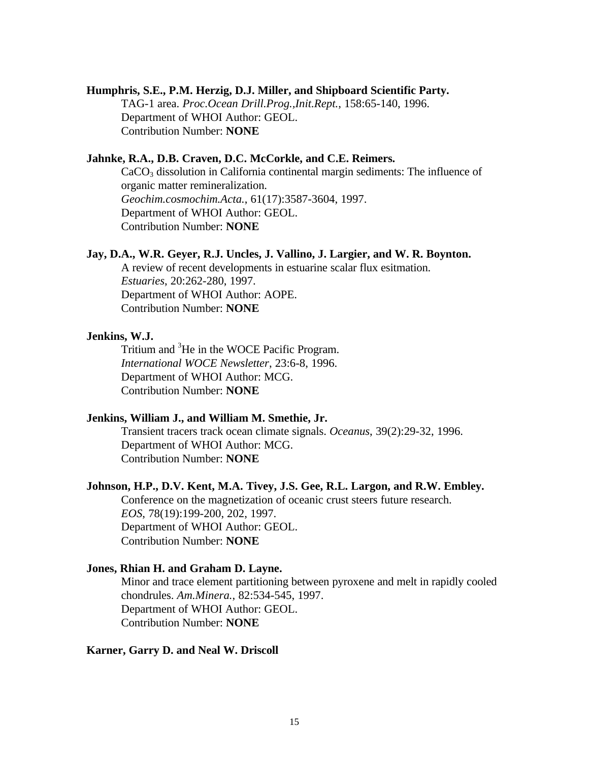### **Humphris, S.E., P.M. Herzig, D.J. Miller, and Shipboard Scientific Party.**

TAG-1 area. *Proc.Ocean Drill.Prog.,Init.Rept.*, 158:65-140, 1996. Department of WHOI Author: GEOL. Contribution Number: **NONE**

#### **Jahnke, R.A., D.B. Craven, D.C. McCorkle, and C.E. Reimers.**

CaCO<sub>3</sub> dissolution in California continental margin sediments: The influence of organic matter remineralization. *Geochim.cosmochim.Acta.*, 61(17):3587-3604, 1997. Department of WHOI Author: GEOL. Contribution Number: **NONE**

#### **Jay, D.A., W.R. Geyer, R.J. Uncles, J. Vallino, J. Largier, and W. R. Boynton.**

A review of recent developments in estuarine scalar flux esitmation. *Estuaries*, 20:262-280, 1997. Department of WHOI Author: AOPE. Contribution Number: **NONE**

#### **Jenkins, W.J.**

Tritium and <sup>3</sup>He in the WOCE Pacific Program. *International WOCE Newsletter*, 23:6-8, 1996. Department of WHOI Author: MCG. Contribution Number: **NONE**

#### **Jenkins, William J., and William M. Smethie, Jr.**

Transient tracers track ocean climate signals. *Oceanus*, 39(2):29-32, 1996. Department of WHOI Author: MCG. Contribution Number: **NONE**

### **Johnson, H.P., D.V. Kent, M.A. Tivey, J.S. Gee, R.L. Largon, and R.W. Embley.**

Conference on the magnetization of oceanic crust steers future research. *EOS*, 78(19):199-200, 202, 1997. Department of WHOI Author: GEOL. Contribution Number: **NONE**

### **Jones, Rhian H. and Graham D. Layne.**

Minor and trace element partitioning between pyroxene and melt in rapidly cooled chondrules. *Am.Minera.*, 82:534-545, 1997. Department of WHOI Author: GEOL. Contribution Number: **NONE**

#### **Karner, Garry D. and Neal W. Driscoll**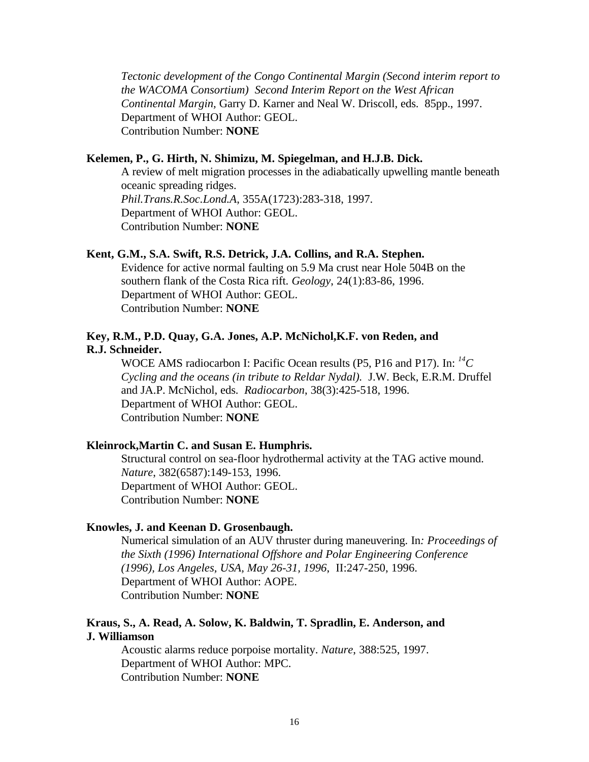*Tectonic development of the Congo Continental Margin (Second interim report to the WACOMA Consortium) Second Interim Report on the West African Continental Margin,* Garry D. Karner and Neal W. Driscoll, eds. 85pp., 1997. Department of WHOI Author: GEOL. Contribution Number: **NONE**

### **Kelemen, P., G. Hirth, N. Shimizu, M. Spiegelman, and H.J.B. Dick.**

A review of melt migration processes in the adiabatically upwelling mantle beneath oceanic spreading ridges. *Phil.Trans.R.Soc.Lond.A*, 355A(1723):283-318, 1997. Department of WHOI Author: GEOL. Contribution Number: **NONE**

### **Kent, G.M., S.A. Swift, R.S. Detrick, J.A. Collins, and R.A. Stephen.**

Evidence for active normal faulting on 5.9 Ma crust near Hole 504B on the southern flank of the Costa Rica rift. *Geology*, 24(1):83-86, 1996. Department of WHOI Author: GEOL. Contribution Number: **NONE**

### **Key, R.M., P.D. Quay, G.A. Jones, A.P. McNichol,K.F. von Reden, and R.J. Schneider.**

WOCE AMS radiocarbon I: Pacific Ocean results (P5, P16 and P17). In: *<sup>14</sup>C Cycling and the oceans (in tribute to Reldar Nydal).* J.W. Beck, E.R.M. Druffel and JA.P. McNichol, eds. *Radiocarbon*, 38(3):425-518, 1996. Department of WHOI Author: GEOL. Contribution Number: **NONE**

#### **Kleinrock,Martin C. and Susan E. Humphris.**

Structural control on sea-floor hydrothermal activity at the TAG active mound. *Nature*, 382(6587):149-153, 1996. Department of WHOI Author: GEOL. Contribution Number: **NONE**

#### **Knowles, J. and Keenan D. Grosenbaugh.**

Numerical simulation of an AUV thruster during maneuvering. In*: Proceedings of the Sixth (1996) International Offshore and Polar Engineering Conference (1996), Los Angeles, USA, May 26-31, 1996*, II:247-250, 1996. Department of WHOI Author: AOPE. Contribution Number: **NONE**

### **Kraus, S., A. Read, A. Solow, K. Baldwin, T. Spradlin, E. Anderson, and J. Williamson**

Acoustic alarms reduce porpoise mortality. *Nature*, 388:525, 1997. Department of WHOI Author: MPC. Contribution Number: **NONE**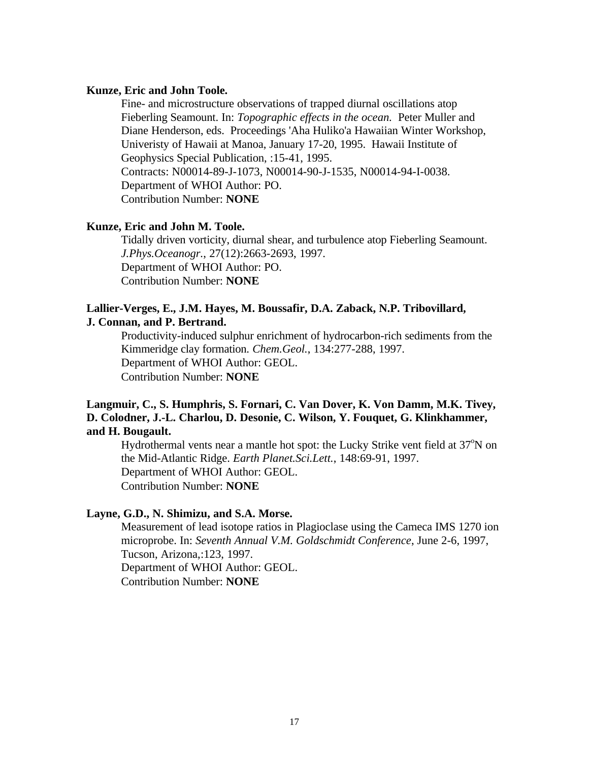#### **Kunze, Eric and John Toole.**

Fine- and microstructure observations of trapped diurnal oscillations atop Fieberling Seamount. In: *Topographic effects in the ocean.* Peter Muller and Diane Henderson, eds. Proceedings 'Aha Huliko'a Hawaiian Winter Workshop, Univeristy of Hawaii at Manoa, January 17-20, 1995. Hawaii Institute of Geophysics Special Publication, :15-41, 1995. Contracts: N00014-89-J-1073, N00014-90-J-1535, N00014-94-I-0038. Department of WHOI Author: PO. Contribution Number: **NONE**

### **Kunze, Eric and John M. Toole.**

Tidally driven vorticity, diurnal shear, and turbulence atop Fieberling Seamount. *J.Phys.Oceanogr.*, 27(12):2663-2693, 1997. Department of WHOI Author: PO. Contribution Number: **NONE**

#### **Lallier-Verges, E., J.M. Hayes, M. Boussafir, D.A. Zaback, N.P. Tribovillard, J. Connan, and P. Bertrand.**

Productivity-induced sulphur enrichment of hydrocarbon-rich sediments from the Kimmeridge clay formation. *Chem.Geol.*, 134:277-288, 1997. Department of WHOI Author: GEOL. Contribution Number: **NONE**

# **Langmuir, C., S. Humphris, S. Fornari, C. Van Dover, K. Von Damm, M.K. Tivey, D. Colodner, J.-L. Charlou, D. Desonie, C. Wilson, Y. Fouquet, G. Klinkhammer, and H. Bougault.**

Hydrothermal vents near a mantle hot spot: the Lucky Strike vent field at 37<sup>o</sup>N on the Mid-Atlantic Ridge. *Earth Planet.Sci.Lett.*, 148:69-91, 1997. Department of WHOI Author: GEOL. Contribution Number: **NONE**

#### **Layne, G.D., N. Shimizu, and S.A. Morse.**

Measurement of lead isotope ratios in Plagioclase using the Cameca IMS 1270 ion microprobe. In: *Seventh Annual V.M. Goldschmidt Conference*, June 2-6, 1997, Tucson, Arizona,:123, 1997. Department of WHOI Author: GEOL.

Contribution Number: **NONE**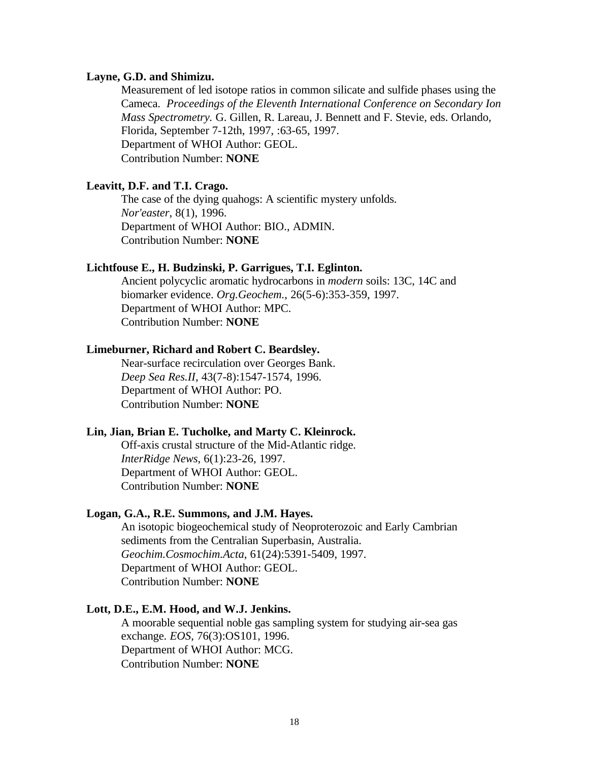#### **Layne, G.D. and Shimizu.**

Measurement of led isotope ratios in common silicate and sulfide phases using the Cameca. *Proceedings of the Eleventh International Conference on Secondary Ion Mass Spectrometry.* G. Gillen, R. Lareau, J. Bennett and F. Stevie, eds. Orlando, Florida, September 7-12th, 1997, :63-65, 1997. Department of WHOI Author: GEOL. Contribution Number: **NONE**

### **Leavitt, D.F. and T.I. Crago.**

The case of the dying quahogs: A scientific mystery unfolds. *Nor'easter*, 8(1), 1996. Department of WHOI Author: BIO., ADMIN. Contribution Number: **NONE**

#### **Lichtfouse E., H. Budzinski, P. Garrigues, T.I. Eglinton.**

Ancient polycyclic aromatic hydrocarbons in *modern* soils: 13C, 14C and biomarker evidence. *Org.Geochem.*, 26(5-6):353-359, 1997. Department of WHOI Author: MPC. Contribution Number: **NONE**

#### **Limeburner, Richard and Robert C. Beardsley.**

Near-surface recirculation over Georges Bank. *Deep Sea Res.II*, 43(7-8):1547-1574, 1996. Department of WHOI Author: PO. Contribution Number: **NONE**

#### **Lin, Jian, Brian E. Tucholke, and Marty C. Kleinrock.**

Off-axis crustal structure of the Mid-Atlantic ridge. *InterRidge News*, 6(1):23-26, 1997. Department of WHOI Author: GEOL. Contribution Number: **NONE**

#### **Logan, G.A., R.E. Summons, and J.M. Hayes.**

An isotopic biogeochemical study of Neoproterozoic and Early Cambrian sediments from the Centralian Superbasin, Australia. *Geochim.Cosmochim.Acta*, 61(24):5391-5409, 1997. Department of WHOI Author: GEOL. Contribution Number: **NONE**

### **Lott, D.E., E.M. Hood, and W.J. Jenkins.**

A moorable sequential noble gas sampling system for studying air-sea gas exchange. *EOS*, 76(3):OS101, 1996. Department of WHOI Author: MCG. Contribution Number: **NONE**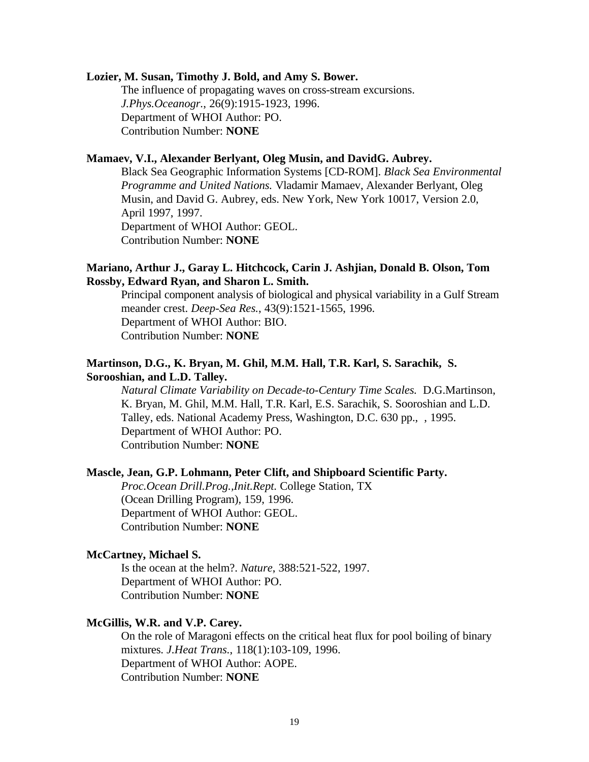### **Lozier, M. Susan, Timothy J. Bold, and Amy S. Bower.**

The influence of propagating waves on cross-stream excursions. *J.Phys.Oceanogr.*, 26(9):1915-1923, 1996. Department of WHOI Author: PO. Contribution Number: **NONE**

# **Mamaev, V.I., Alexander Berlyant, Oleg Musin, and DavidG. Aubrey.**

Black Sea Geographic Information Systems [CD-ROM]. *Black Sea Environmental Programme and United Nations.* Vladamir Mamaev, Alexander Berlyant, Oleg Musin, and David G. Aubrey, eds. New York, New York 10017, Version 2.0, April 1997, 1997. Department of WHOI Author: GEOL. Contribution Number: **NONE**

### **Mariano, Arthur J., Garay L. Hitchcock, Carin J. Ashjian, Donald B. Olson, Tom Rossby, Edward Ryan, and Sharon L. Smith.**

Principal component analysis of biological and physical variability in a Gulf Stream meander crest. *Deep-Sea Res.*, 43(9):1521-1565, 1996. Department of WHOI Author: BIO. Contribution Number: **NONE**

### **Martinson, D.G., K. Bryan, M. Ghil, M.M. Hall, T.R. Karl, S. Sarachik, S. Sorooshian, and L.D. Talley.**

*Natural Climate Variability on Decade-to-Century Time Scales.* D.G.Martinson, K. Bryan, M. Ghil, M.M. Hall, T.R. Karl, E.S. Sarachik, S. Sooroshian and L.D. Talley, eds. National Academy Press, Washington, D.C. 630 pp., , 1995. Department of WHOI Author: PO. Contribution Number: **NONE**

#### **Mascle, Jean, G.P. Lohmann, Peter Clift, and Shipboard Scientific Party.**

*Proc.Ocean Drill.Prog.,Init.Rept.* College Station, TX (Ocean Drilling Program), 159, 1996. Department of WHOI Author: GEOL. Contribution Number: **NONE**

#### **McCartney, Michael S.**

Is the ocean at the helm?. *Nature*, 388:521-522, 1997. Department of WHOI Author: PO. Contribution Number: **NONE**

#### **McGillis, W.R. and V.P. Carey.**

On the role of Maragoni effects on the critical heat flux for pool boiling of binary mixtures. *J.Heat Trans.*, 118(1):103-109, 1996. Department of WHOI Author: AOPE. Contribution Number: **NONE**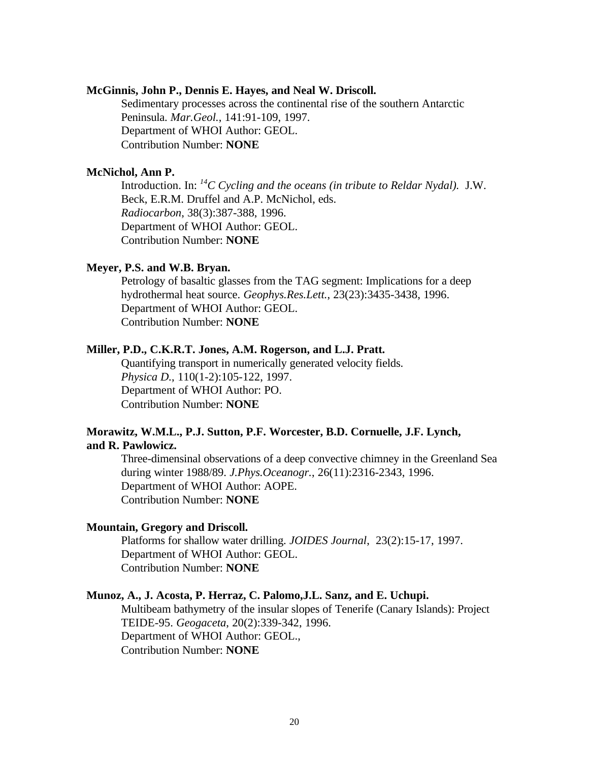#### **McGinnis, John P., Dennis E. Hayes, and Neal W. Driscoll.**

Sedimentary processes across the continental rise of the southern Antarctic Peninsula. *Mar.Geol.*, 141:91-109, 1997. Department of WHOI Author: GEOL. Contribution Number: **NONE**

### **McNichol, Ann P.**

Introduction. In: *<sup>14</sup>C Cycling and the oceans (in tribute to Reldar Nydal).* J.W. Beck, E.R.M. Druffel and A.P. McNichol, eds. *Radiocarbon*, 38(3):387-388, 1996. Department of WHOI Author: GEOL. Contribution Number: **NONE**

#### **Meyer, P.S. and W.B. Bryan.**

Petrology of basaltic glasses from the TAG segment: Implications for a deep hydrothermal heat source. *Geophys.Res.Lett.*, 23(23):3435-3438, 1996. Department of WHOI Author: GEOL. Contribution Number: **NONE**

### **Miller, P.D., C.K.R.T. Jones, A.M. Rogerson, and L.J. Pratt.**

Quantifying transport in numerically generated velocity fields. *Physica D.*, 110(1-2):105-122, 1997. Department of WHOI Author: PO. Contribution Number: **NONE**

### **Morawitz, W.M.L., P.J. Sutton, P.F. Worcester, B.D. Cornuelle, J.F. Lynch, and R. Pawlowicz.**

Three-dimensinal observations of a deep convective chimney in the Greenland Sea during winter 1988/89. *J.Phys.Oceanogr.*, 26(11):2316-2343, 1996. Department of WHOI Author: AOPE. Contribution Number: **NONE**

#### **Mountain, Gregory and Driscoll.**

Platforms for shallow water drilling. *JOIDES Journal*, 23(2):15-17, 1997. Department of WHOI Author: GEOL. Contribution Number: **NONE**

### **Munoz, A., J. Acosta, P. Herraz, C. Palomo,J.L. Sanz, and E. Uchupi.**

Multibeam bathymetry of the insular slopes of Tenerife (Canary Islands): Project TEIDE-95. *Geogaceta*, 20(2):339-342, 1996. Department of WHOI Author: GEOL., Contribution Number: **NONE**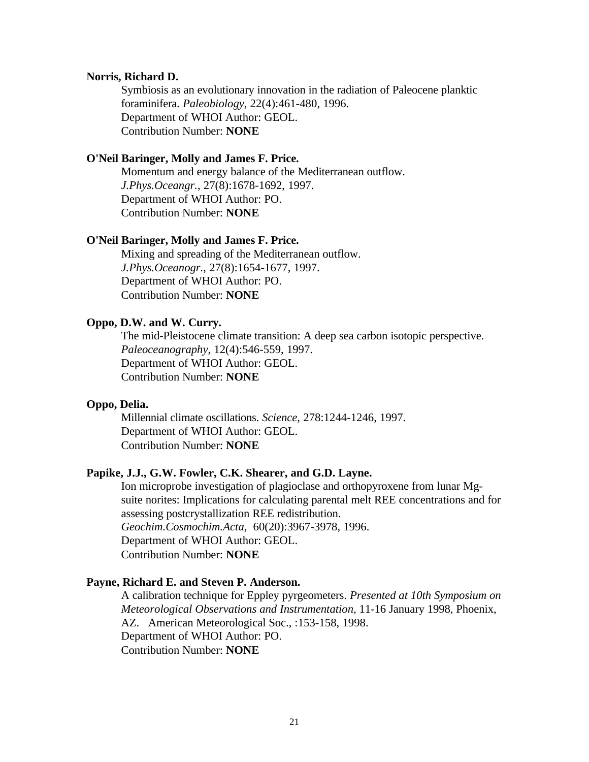#### **Norris, Richard D.**

Symbiosis as an evolutionary innovation in the radiation of Paleocene planktic foraminifera. *Paleobiology*, 22(4):461-480, 1996. Department of WHOI Author: GEOL. Contribution Number: **NONE**

#### **O'Neil Baringer, Molly and James F. Price.**

Momentum and energy balance of the Mediterranean outflow. *J.Phys.Oceangr.*, 27(8):1678-1692, 1997. Department of WHOI Author: PO. Contribution Number: **NONE**

#### **O'Neil Baringer, Molly and James F. Price.**

Mixing and spreading of the Mediterranean outflow. *J.Phys.Oceanogr.*, 27(8):1654-1677, 1997. Department of WHOI Author: PO. Contribution Number: **NONE**

#### **Oppo, D.W. and W. Curry.**

The mid-Pleistocene climate transition: A deep sea carbon isotopic perspective. *Paleoceanography*, 12(4):546-559, 1997. Department of WHOI Author: GEOL. Contribution Number: **NONE**

#### **Oppo, Delia.**

Millennial climate oscillations. *Science*, 278:1244-1246, 1997. Department of WHOI Author: GEOL. Contribution Number: **NONE**

#### **Papike, J.J., G.W. Fowler, C.K. Shearer, and G.D. Layne.**

Ion microprobe investigation of plagioclase and orthopyroxene from lunar Mgsuite norites: Implications for calculating parental melt REE concentrations and for assessing postcrystallization REE redistribution. *Geochim.Cosmochim.Acta*, 60(20):3967-3978, 1996. Department of WHOI Author: GEOL. Contribution Number: **NONE**

#### **Payne, Richard E. and Steven P. Anderson.**

A calibration technique for Eppley pyrgeometers. *Presented at 10th Symposium on Meteorological Observations and Instrumentation,* 11-16 January 1998, Phoenix, AZ. American Meteorological Soc., :153-158, 1998. Department of WHOI Author: PO. Contribution Number: **NONE**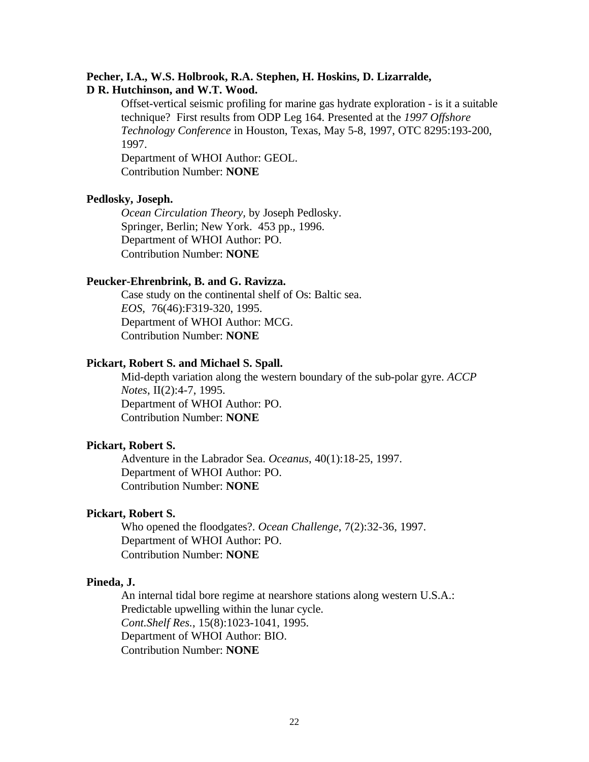#### **Pecher, I.A., W.S. Holbrook, R.A. Stephen, H. Hoskins, D. Lizarralde, D R. Hutchinson, and W.T. Wood.**

Offset-vertical seismic profiling for marine gas hydrate exploration - is it a suitable technique? First results from ODP Leg 164. Presented at the *1997 Offshore Technology Conference* in Houston, Texas, May 5-8, 1997, OTC 8295:193-200, 1997.

Department of WHOI Author: GEOL. Contribution Number: **NONE**

### **Pedlosky, Joseph.**

*Ocean Circulation Theory,* by Joseph Pedlosky. Springer, Berlin; New York. 453 pp., 1996. Department of WHOI Author: PO. Contribution Number: **NONE**

### **Peucker-Ehrenbrink, B. and G. Ravizza.**

Case study on the continental shelf of Os: Baltic sea. *EOS*, 76(46):F319-320, 1995. Department of WHOI Author: MCG. Contribution Number: **NONE**

#### **Pickart, Robert S. and Michael S. Spall.**

Mid-depth variation along the western boundary of the sub-polar gyre. *ACCP Notes*, II(2):4-7, 1995. Department of WHOI Author: PO. Contribution Number: **NONE**

### **Pickart, Robert S.**

Adventure in the Labrador Sea. *Oceanus*, 40(1):18-25, 1997. Department of WHOI Author: PO. Contribution Number: **NONE**

### **Pickart, Robert S.**

Who opened the floodgates?. *Ocean Challenge*, 7(2):32-36, 1997. Department of WHOI Author: PO. Contribution Number: **NONE**

#### **Pineda, J.**

An internal tidal bore regime at nearshore stations along western U.S.A.: Predictable upwelling within the lunar cycle. *Cont.Shelf Res.*, 15(8):1023-1041, 1995. Department of WHOI Author: BIO. Contribution Number: **NONE**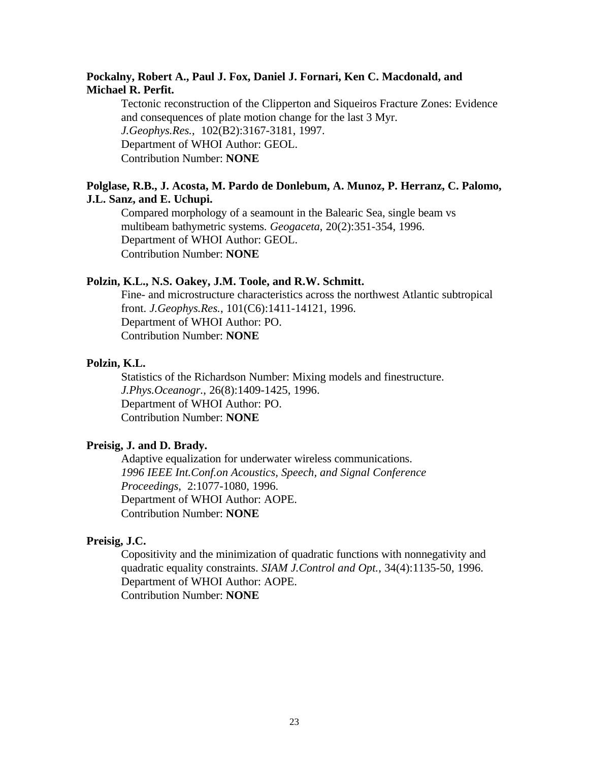### **Pockalny, Robert A., Paul J. Fox, Daniel J. Fornari, Ken C. Macdonald, and Michael R. Perfit.**

Tectonic reconstruction of the Clipperton and Siqueiros Fracture Zones: Evidence and consequences of plate motion change for the last 3 Myr. *J.Geophys.Res.*, 102(B2):3167-3181, 1997. Department of WHOI Author: GEOL. Contribution Number: **NONE**

### **Polglase, R.B., J. Acosta, M. Pardo de Donlebum, A. Munoz, P. Herranz, C. Palomo, J.L. Sanz, and E. Uchupi.**

Compared morphology of a seamount in the Balearic Sea, single beam vs multibeam bathymetric systems. *Geogaceta*, 20(2):351-354, 1996. Department of WHOI Author: GEOL. Contribution Number: **NONE**

#### **Polzin, K.L., N.S. Oakey, J.M. Toole, and R.W. Schmitt.**

Fine- and microstructure characteristics across the northwest Atlantic subtropical front. *J.Geophys.Res.*, 101(C6):1411-14121, 1996. Department of WHOI Author: PO. Contribution Number: **NONE**

### **Polzin, K.L.**

Statistics of the Richardson Number: Mixing models and finestructure. *J.Phys.Oceanogr.*, 26(8):1409-1425, 1996. Department of WHOI Author: PO. Contribution Number: **NONE**

### **Preisig, J. and D. Brady.**

Adaptive equalization for underwater wireless communications. *1996 IEEE Int.Conf.on Acoustics, Speech, and Signal Conference Proceedings*, 2:1077-1080, 1996. Department of WHOI Author: AOPE. Contribution Number: **NONE**

#### **Preisig, J.C.**

Copositivity and the minimization of quadratic functions with nonnegativity and quadratic equality constraints. *SIAM J.Control and Opt.*, 34(4):1135-50, 1996. Department of WHOI Author: AOPE. Contribution Number: **NONE**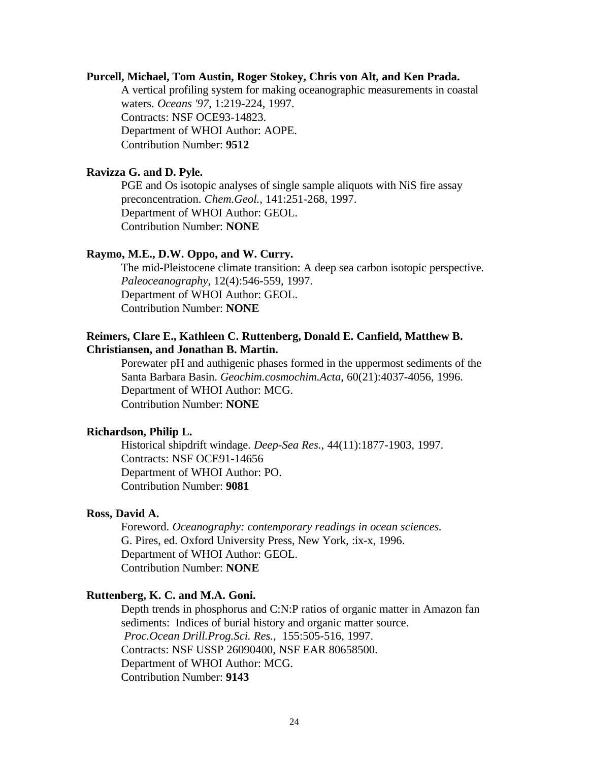#### **Purcell, Michael, Tom Austin, Roger Stokey, Chris von Alt, and Ken Prada.**

A vertical profiling system for making oceanographic measurements in coastal waters. *Oceans '97*, 1:219-224, 1997. Contracts: NSF OCE93-14823. Department of WHOI Author: AOPE. Contribution Number: **9512**

### **Ravizza G. and D. Pyle.**

PGE and Os isotopic analyses of single sample aliquots with NiS fire assay preconcentration. *Chem.Geol.*, 141:251-268, 1997. Department of WHOI Author: GEOL. Contribution Number: **NONE**

### **Raymo, M.E., D.W. Oppo, and W. Curry.**

The mid-Pleistocene climate transition: A deep sea carbon isotopic perspective. *Paleoceanography*, 12(4):546-559, 1997. Department of WHOI Author: GEOL. Contribution Number: **NONE**

### **Reimers, Clare E., Kathleen C. Ruttenberg, Donald E. Canfield, Matthew B. Christiansen, and Jonathan B. Martin.**

Porewater pH and authigenic phases formed in the uppermost sediments of the Santa Barbara Basin. *Geochim.cosmochim.Acta*, 60(21):4037-4056, 1996. Department of WHOI Author: MCG. Contribution Number: **NONE**

### **Richardson, Philip L.**

Historical shipdrift windage. *Deep-Sea Res.*, 44(11):1877-1903, 1997. Contracts: NSF OCE91-14656 Department of WHOI Author: PO. Contribution Number: **9081**

### **Ross, David A.**

Foreword. *Oceanography: contemporary readings in ocean sciences.* G. Pires, ed. Oxford University Press, New York, :ix-x, 1996. Department of WHOI Author: GEOL. Contribution Number: **NONE**

#### **Ruttenberg, K. C. and M.A. Goni.**

Depth trends in phosphorus and C:N:P ratios of organic matter in Amazon fan sediments: Indices of burial history and organic matter source. *Proc.Ocean Drill.Prog.Sci. Res.*, 155:505-516, 1997. Contracts: NSF USSP 26090400, NSF EAR 80658500. Department of WHOI Author: MCG. Contribution Number: **9143**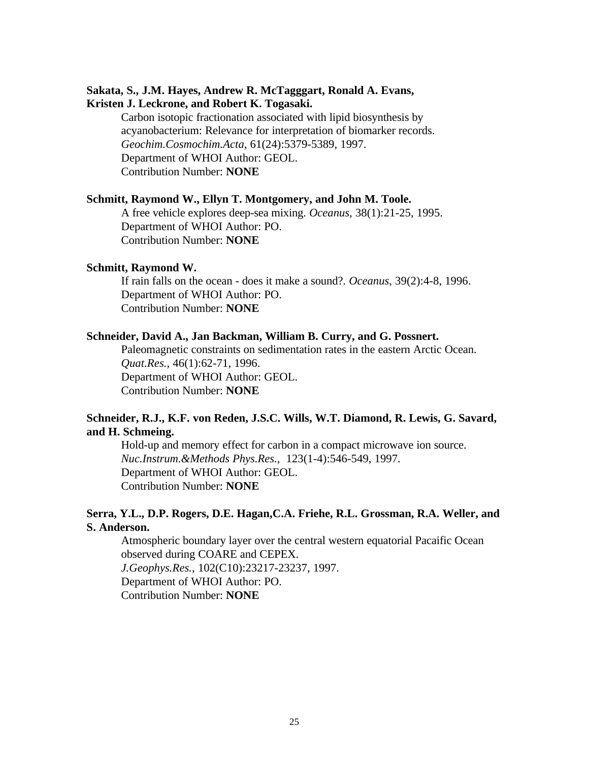### **Sakata, S., J.M. Hayes, Andrew R. McTagggart, Ronald A. Evans, Kristen J. Leckrone, and Robert K. Togasaki.**

Carbon isotopic fractionation associated with lipid biosynthesis by acyanobacterium: Relevance for interpretation of biomarker records. *Geochim.Cosmochim.Acta*, 61(24):5379-5389, 1997. Department of WHOI Author: GEOL. Contribution Number: **NONE**

#### **Schmitt, Raymond W., Ellyn T. Montgomery, and John M. Toole.**

A free vehicle explores deep-sea mixing. *Oceanus*, 38(1):21-25, 1995. Department of WHOI Author: PO. Contribution Number: **NONE**

#### **Schmitt, Raymond W.**

If rain falls on the ocean - does it make a sound?. *Oceanus*, 39(2):4-8, 1996. Department of WHOI Author: PO. Contribution Number: **NONE**

#### **Schneider, David A., Jan Backman, William B. Curry, and G. Possnert.**

Paleomagnetic constraints on sedimentation rates in the eastern Arctic Ocean. *Quat.Res.*, 46(1):62-71, 1996. Department of WHOI Author: GEOL. Contribution Number: **NONE**

### **Schneider, R.J., K.F. von Reden, J.S.C. Wills, W.T. Diamond, R. Lewis, G. Savard, and H. Schmeing.**

Hold-up and memory effect for carbon in a compact microwave ion source. *Nuc.Instrum.&Methods Phys.Res.*, 123(1-4):546-549, 1997. Department of WHOI Author: GEOL. Contribution Number: **NONE**

### **Serra, Y.L., D.P. Rogers, D.E. Hagan,C.A. Friehe, R.L. Grossman, R.A. Weller, and S. Anderson.**

Atmospheric boundary layer over the central western equatorial Pacaific Ocean observed during COARE and CEPEX. *J.Geophys.Res.*, 102(C10):23217-23237, 1997. Department of WHOI Author: PO. Contribution Number: **NONE**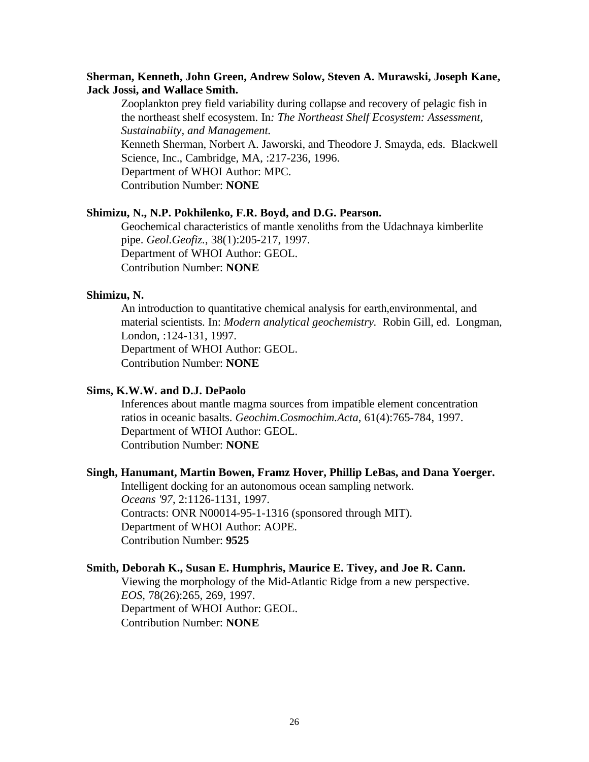### **Sherman, Kenneth, John Green, Andrew Solow, Steven A. Murawski, Joseph Kane, Jack Jossi, and Wallace Smith.**

Zooplankton prey field variability during collapse and recovery of pelagic fish in the northeast shelf ecosystem. In*: The Northeast Shelf Ecosystem: Assessment, Sustainabiity, and Management.* Kenneth Sherman, Norbert A. Jaworski, and Theodore J. Smayda, eds. Blackwell Science, Inc., Cambridge, MA, :217-236, 1996. Department of WHOI Author: MPC. Contribution Number: **NONE**

#### **Shimizu, N., N.P. Pokhilenko, F.R. Boyd, and D.G. Pearson.**

Geochemical characteristics of mantle xenoliths from the Udachnaya kimberlite pipe. *Geol.Geofiz.*, 38(1):205-217, 1997. Department of WHOI Author: GEOL. Contribution Number: **NONE**

#### **Shimizu, N.**

An introduction to quantitative chemical analysis for earth,environmental, and material scientists. In: *Modern analytical geochemistry.* Robin Gill, ed. Longman, London, :124-131, 1997. Department of WHOI Author: GEOL. Contribution Number: **NONE**

### **Sims, K.W.W. and D.J. DePaolo**

Inferences about mantle magma sources from impatible element concentration ratios in oceanic basalts. *Geochim.Cosmochim.Acta*, 61(4):765-784, 1997. Department of WHOI Author: GEOL. Contribution Number: **NONE**

#### **Singh, Hanumant, Martin Bowen, Framz Hover, Phillip LeBas, and Dana Yoerger.**

Intelligent docking for an autonomous ocean sampling network. *Oceans '97*, 2:1126-1131, 1997. Contracts: ONR N00014-95-1-1316 (sponsored through MIT). Department of WHOI Author: AOPE. Contribution Number: **9525**

### **Smith, Deborah K., Susan E. Humphris, Maurice E. Tivey, and Joe R. Cann.**

Viewing the morphology of the Mid-Atlantic Ridge from a new perspective. *EOS*, 78(26):265, 269, 1997. Department of WHOI Author: GEOL. Contribution Number: **NONE**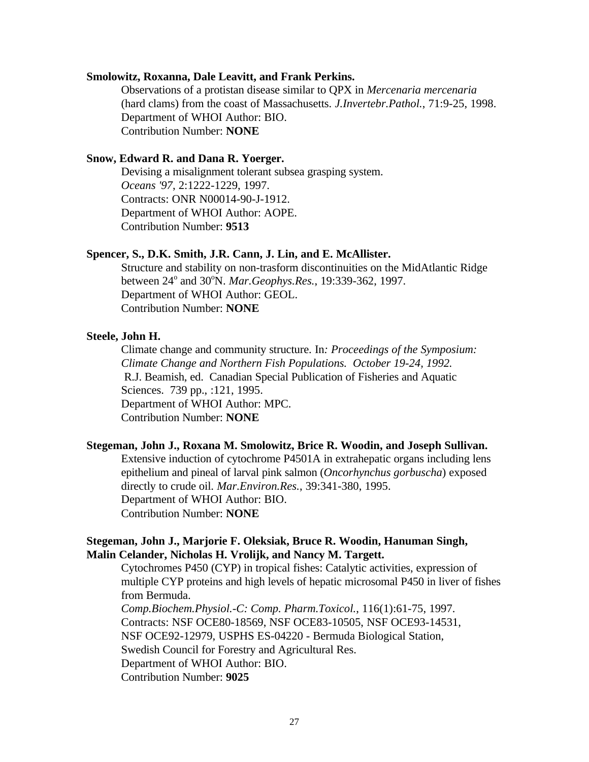#### **Smolowitz, Roxanna, Dale Leavitt, and Frank Perkins.**

Observations of a protistan disease similar to QPX in *Mercenaria mercenaria* (hard clams) from the coast of Massachusetts. *J.Invertebr.Pathol.*, 71:9-25, 1998. Department of WHOI Author: BIO. Contribution Number: **NONE**

### **Snow, Edward R. and Dana R. Yoerger.**

Devising a misalignment tolerant subsea grasping system. *Oceans '97*, 2:1222-1229, 1997. Contracts: ONR N00014-90-J-1912. Department of WHOI Author: AOPE. Contribution Number: **9513**

#### **Spencer, S., D.K. Smith, J.R. Cann, J. Lin, and E. McAllister.**

Structure and stability on non-trasform discontinuities on the MidAtlantic Ridge between 24<sup>°</sup> and 30<sup>°</sup>N. *Mar.Geophys.Res.*, 19:339-362, 1997. Department of WHOI Author: GEOL. Contribution Number: **NONE**

#### **Steele, John H.**

Climate change and community structure. In*: Proceedings of the Symposium: Climate Change and Northern Fish Populations. October 19-24, 1992.* R.J. Beamish, ed. Canadian Special Publication of Fisheries and Aquatic Sciences. 739 pp., :121, 1995. Department of WHOI Author: MPC. Contribution Number: **NONE**

#### **Stegeman, John J., Roxana M. Smolowitz, Brice R. Woodin, and Joseph Sullivan.**

Extensive induction of cytochrome P4501A in extrahepatic organs including lens epithelium and pineal of larval pink salmon (*Oncorhynchus gorbuscha*) exposed directly to crude oil. *Mar.Environ.Res.*, 39:341-380, 1995. Department of WHOI Author: BIO. Contribution Number: **NONE**

### **Stegeman, John J., Marjorie F. Oleksiak, Bruce R. Woodin, Hanuman Singh, Malin Celander, Nicholas H. Vrolijk, and Nancy M. Targett.**

Cytochromes P450 (CYP) in tropical fishes: Catalytic activities, expression of multiple CYP proteins and high levels of hepatic microsomal P450 in liver of fishes from Bermuda.

*Comp.Biochem.Physiol.-C: Comp. Pharm.Toxicol.*, 116(1):61-75, 1997. Contracts: NSF OCE80-18569, NSF OCE83-10505, NSF OCE93-14531, NSF OCE92-12979, USPHS ES-04220 - Bermuda Biological Station, Swedish Council for Forestry and Agricultural Res. Department of WHOI Author: BIO. Contribution Number: **9025**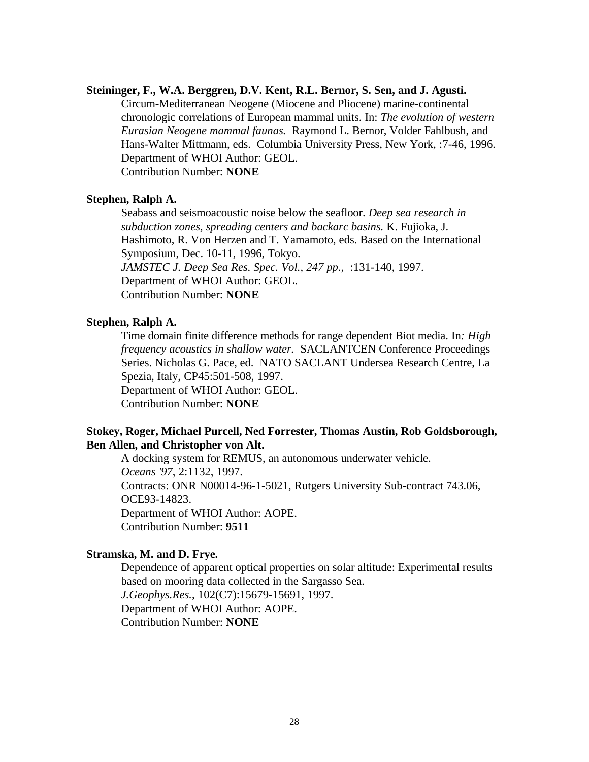#### **Steininger, F., W.A. Berggren, D.V. Kent, R.L. Bernor, S. Sen, and J. Agusti.**

Circum-Mediterranean Neogene (Miocene and Pliocene) marine-continental chronologic correlations of European mammal units. In: *The evolution of western Eurasian Neogene mammal faunas.* Raymond L. Bernor, Volder Fahlbush, and Hans-Walter Mittmann, eds. Columbia University Press, New York, :7-46, 1996. Department of WHOI Author: GEOL.

Contribution Number: **NONE**

#### **Stephen, Ralph A.**

Seabass and seismoacoustic noise below the seafloor. *Deep sea research in subduction zones, spreading centers and backarc basins.* K. Fujioka, J. Hashimoto, R. Von Herzen and T. Yamamoto, eds. Based on the International Symposium, Dec. 10-11, 1996, Tokyo. *JAMSTEC J. Deep Sea Res. Spec. Vol., 247 pp.*, :131-140, 1997. Department of WHOI Author: GEOL. Contribution Number: **NONE**

#### **Stephen, Ralph A.**

Time domain finite difference methods for range dependent Biot media. In*: High frequency acoustics in shallow water.* SACLANTCEN Conference Proceedings Series. Nicholas G. Pace, ed. NATO SACLANT Undersea Research Centre, La Spezia, Italy, CP45:501-508, 1997. Department of WHOI Author: GEOL. Contribution Number: **NONE**

**Stokey, Roger, Michael Purcell, Ned Forrester, Thomas Austin, Rob Goldsborough,**

#### **Ben Allen, and Christopher von Alt.**

A docking system for REMUS, an autonomous underwater vehicle. *Oceans '97*, 2:1132, 1997. Contracts: ONR N00014-96-1-5021, Rutgers University Sub-contract 743.06, OCE93-14823. Department of WHOI Author: AOPE. Contribution Number: **9511**

#### **Stramska, M. and D. Frye.**

Dependence of apparent optical properties on solar altitude: Experimental results based on mooring data collected in the Sargasso Sea. *J.Geophys.Res.*, 102(C7):15679-15691, 1997. Department of WHOI Author: AOPE. Contribution Number: **NONE**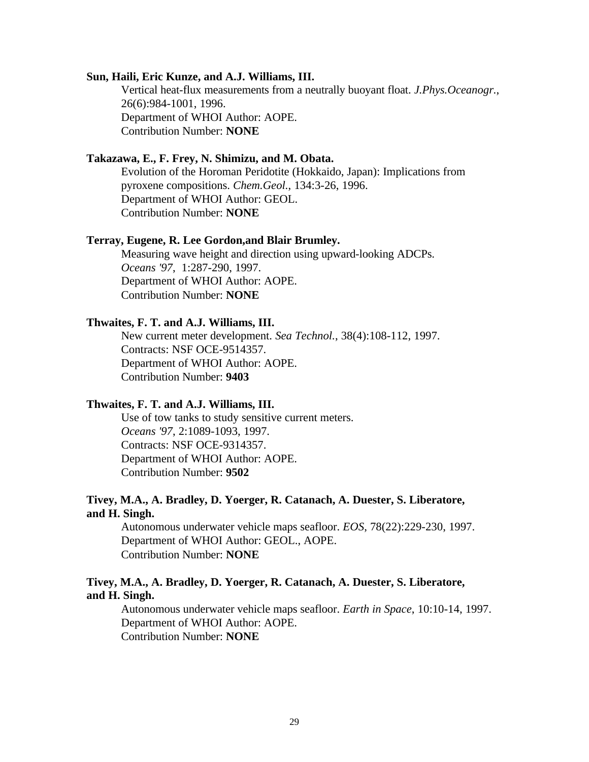#### **Sun, Haili, Eric Kunze, and A.J. Williams, III.**

Vertical heat-flux measurements from a neutrally buoyant float. *J.Phys.Oceanogr.*, 26(6):984-1001, 1996. Department of WHOI Author: AOPE. Contribution Number: **NONE**

### **Takazawa, E., F. Frey, N. Shimizu, and M. Obata.**

Evolution of the Horoman Peridotite (Hokkaido, Japan): Implications from pyroxene compositions. *Chem.Geol.*, 134:3-26, 1996. Department of WHOI Author: GEOL. Contribution Number: **NONE**

#### **Terray, Eugene, R. Lee Gordon,and Blair Brumley.**

Measuring wave height and direction using upward-looking ADCPs. *Oceans '97*, 1:287-290, 1997. Department of WHOI Author: AOPE. Contribution Number: **NONE**

#### **Thwaites, F. T. and A.J. Williams, III.**

New current meter development. *Sea Technol.*, 38(4):108-112, 1997. Contracts: NSF OCE-9514357. Department of WHOI Author: AOPE. Contribution Number: **9403**

#### **Thwaites, F. T. and A.J. Williams, III.**

Use of tow tanks to study sensitive current meters. *Oceans '97*, 2:1089-1093, 1997. Contracts: NSF OCE-9314357. Department of WHOI Author: AOPE. Contribution Number: **9502**

### **Tivey, M.A., A. Bradley, D. Yoerger, R. Catanach, A. Duester, S. Liberatore, and H. Singh.**

Autonomous underwater vehicle maps seafloor. *EOS*, 78(22):229-230, 1997. Department of WHOI Author: GEOL., AOPE. Contribution Number: **NONE**

### **Tivey, M.A., A. Bradley, D. Yoerger, R. Catanach, A. Duester, S. Liberatore, and H. Singh.**

Autonomous underwater vehicle maps seafloor. *Earth in Space*, 10:10-14, 1997. Department of WHOI Author: AOPE. Contribution Number: **NONE**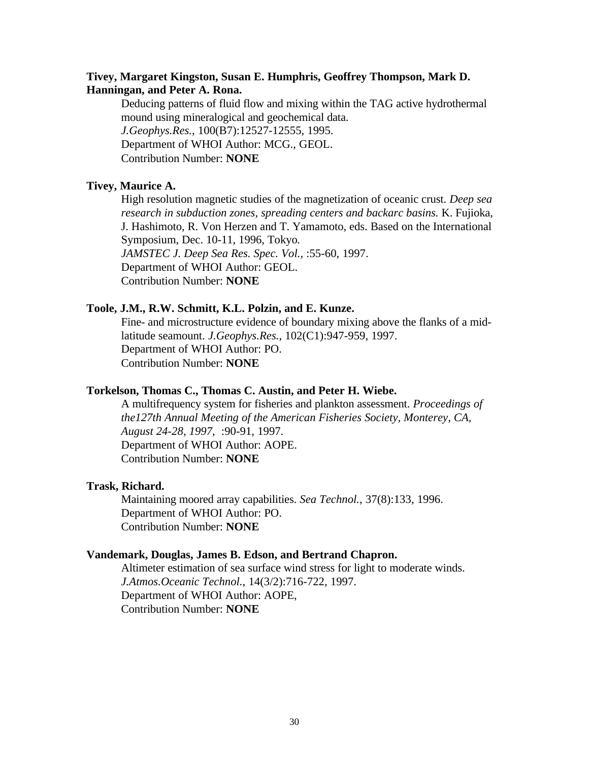### **Tivey, Margaret Kingston, Susan E. Humphris, Geoffrey Thompson, Mark D. Hanningan, and Peter A. Rona.**

Deducing patterns of fluid flow and mixing within the TAG active hydrothermal mound using mineralogical and geochemical data. *J.Geophys.Res.*, 100(B7):12527-12555, 1995. Department of WHOI Author: MCG., GEOL. Contribution Number: **NONE**

### **Tivey, Maurice A.**

High resolution magnetic studies of the magnetization of oceanic crust. *Deep sea research in subduction zones, spreading centers and backarc basins.* K. Fujioka, J. Hashimoto, R. Von Herzen and T. Yamamoto, eds. Based on the International Symposium, Dec. 10-11, 1996, Tokyo*. JAMSTEC J. Deep Sea Res. Spec. Vol.,* :55-60, 1997. Department of WHOI Author: GEOL. Contribution Number: **NONE**

### **Toole, J.M., R.W. Schmitt, K.L. Polzin, and E. Kunze.**

Fine- and microstructure evidence of boundary mixing above the flanks of a midlatitude seamount. *J.Geophys.Res.*, 102(C1):947-959, 1997. Department of WHOI Author: PO. Contribution Number: **NONE**

#### **Torkelson, Thomas C., Thomas C. Austin, and Peter H. Wiebe.**

A multifrequency system for fisheries and plankton assessment. *Proceedings of the127th Annual Meeting of the American Fisheries Society, Monterey, CA, August 24-28, 1997*, :90-91, 1997. Department of WHOI Author: AOPE. Contribution Number: **NONE**

#### **Trask, Richard.**

Maintaining moored array capabilities. *Sea Technol.*, 37(8):133, 1996. Department of WHOI Author: PO. Contribution Number: **NONE**

#### **Vandemark, Douglas, James B. Edson, and Bertrand Chapron.**

Altimeter estimation of sea surface wind stress for light to moderate winds. *J.Atmos.Oceanic Technol.*, 14(3/2):716-722, 1997. Department of WHOI Author: AOPE, Contribution Number: **NONE**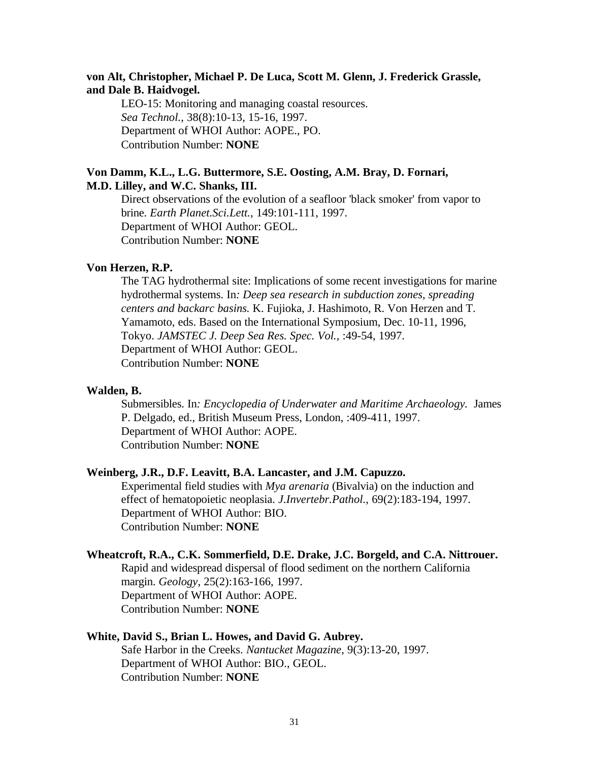### **von Alt, Christopher, Michael P. De Luca, Scott M. Glenn, J. Frederick Grassle, and Dale B. Haidvogel.**

LEO-15: Monitoring and managing coastal resources. *Sea Technol.*, 38(8):10-13, 15-16, 1997. Department of WHOI Author: AOPE., PO. Contribution Number: **NONE**

### **Von Damm, K.L., L.G. Buttermore, S.E. Oosting, A.M. Bray, D. Fornari, M.D. Lilley, and W.C. Shanks, III.**

Direct observations of the evolution of a seafloor 'black smoker' from vapor to brine. *Earth Planet.Sci.Lett.*, 149:101-111, 1997. Department of WHOI Author: GEOL. Contribution Number: **NONE**

#### **Von Herzen, R.P.**

The TAG hydrothermal site: Implications of some recent investigations for marine hydrothermal systems. In*: Deep sea research in subduction zones, spreading centers and backarc basins.* K. Fujioka, J. Hashimoto, R. Von Herzen and T. Yamamoto, eds. Based on the International Symposium, Dec. 10-11, 1996, Tokyo. *JAMSTEC J. Deep Sea Res. Spec. Vol.,* :49-54, 1997. Department of WHOI Author: GEOL. Contribution Number: **NONE**

#### **Walden, B.**

Submersibles. In*: Encyclopedia of Underwater and Maritime Archaeology.* James P. Delgado, ed., British Museum Press, London, :409-411, 1997. Department of WHOI Author: AOPE. Contribution Number: **NONE**

### **Weinberg, J.R., D.F. Leavitt, B.A. Lancaster, and J.M. Capuzzo.**

Experimental field studies with *Mya arenaria* (Bivalvia) on the induction and effect of hematopoietic neoplasia. *J.Invertebr.Pathol.*, 69(2):183-194, 1997. Department of WHOI Author: BIO. Contribution Number: **NONE**

### **Wheatcroft, R.A., C.K. Sommerfield, D.E. Drake, J.C. Borgeld, and C.A. Nittrouer.**

Rapid and widespread dispersal of flood sediment on the northern California margin. *Geology*, 25(2):163-166, 1997. Department of WHOI Author: AOPE.

Contribution Number: **NONE**

#### **White, David S., Brian L. Howes, and David G. Aubrey.**

Safe Harbor in the Creeks. *Nantucket Magazine*, 9(3):13-20, 1997. Department of WHOI Author: BIO., GEOL. Contribution Number: **NONE**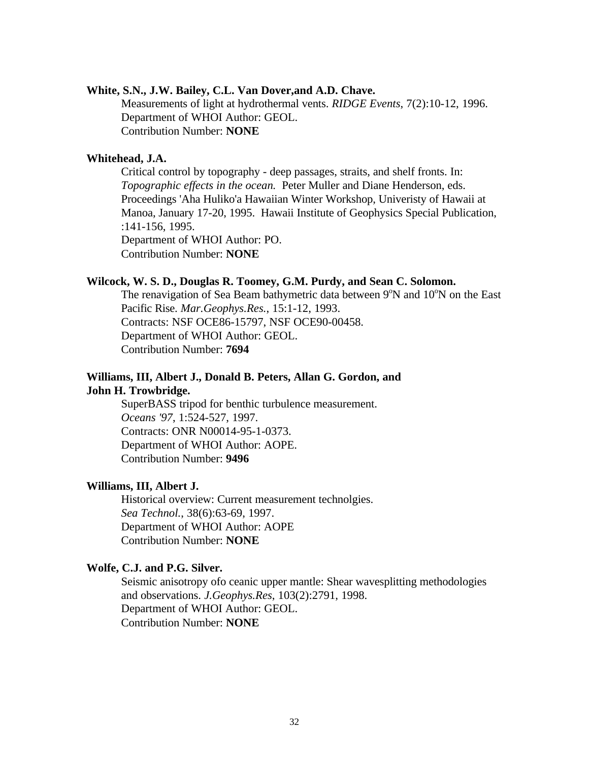#### **White, S.N., J.W. Bailey, C.L. Van Dover,and A.D. Chave.**

Measurements of light at hydrothermal vents. *RIDGE Events*, 7(2):10-12, 1996. Department of WHOI Author: GEOL. Contribution Number: **NONE**

### **Whitehead, J.A.**

Critical control by topography - deep passages, straits, and shelf fronts. In: *Topographic effects in the ocean.* Peter Muller and Diane Henderson, eds. Proceedings 'Aha Huliko'a Hawaiian Winter Workshop, Univeristy of Hawaii at Manoa, January 17-20, 1995. Hawaii Institute of Geophysics Special Publication, :141-156, 1995. Department of WHOI Author: PO.

Contribution Number: **NONE**

### **Wilcock, W. S. D., Douglas R. Toomey, G.M. Purdy, and Sean C. Solomon.**

The renavigation of Sea Beam bathymetric data between  $9^{\circ}$ N and  $10^{\circ}$ N on the East Pacific Rise. *Mar.Geophys.Res.*, 15:1-12, 1993. Contracts: NSF OCE86-15797, NSF OCE90-00458. Department of WHOI Author: GEOL. Contribution Number: **7694**

### **Williams, III, Albert J., Donald B. Peters, Allan G. Gordon, and John H. Trowbridge.**

SuperBASS tripod for benthic turbulence measurement. *Oceans '97*, 1:524-527, 1997. Contracts: ONR N00014-95-1-0373. Department of WHOI Author: AOPE. Contribution Number: **9496**

#### **Williams, III, Albert J.**

Historical overview: Current measurement technolgies. *Sea Technol.*, 38(6):63-69, 1997. Department of WHOI Author: AOPE Contribution Number: **NONE**

# **Wolfe, C.J. and P.G. Silver.**

Seismic anisotropy ofo ceanic upper mantle: Shear wavesplitting methodologies and observations. *J.Geophys.Res*, 103(2):2791, 1998. Department of WHOI Author: GEOL. Contribution Number: **NONE**